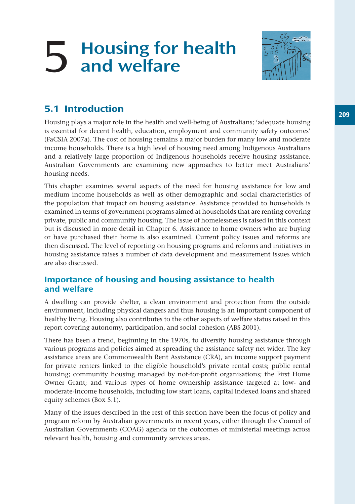# 5 Housing for health<br> **5** and welfare



# 5.1 Introduction

Housing plays a major role in the health and well-being of Australians; 'adequate housing is essential for decent health, education, employment and community safety outcomes' (FaCSIA 2007a). The cost of housing remains a major burden for many low and moderate income households. There is a high level of housing need among Indigenous Australians and a relatively large proportion of Indigenous households receive housing assistance. Australian Governments are examining new approaches to better meet Australians' housing needs.

This chapter examines several aspects of the need for housing assistance for low and medium income households as well as other demographic and social characteristics of the population that impact on housing assistance. Assistance provided to households is examined in terms of government programs aimed at households that are renting covering private, public and community housing. The issue of homelessness is raised in this context but is discussed in more detail in Chapter 6. Assistance to home owners who are buying or have purchased their home is also examined. Current policy issues and reforms are then discussed. The level of reporting on housing programs and reforms and initiatives in housing assistance raises a number of data development and measurement issues which are also discussed.

# Importance of housing and housing assistance to health and welfare

A dwelling can provide shelter, a clean environment and protection from the outside environment, including physical dangers and thus housing is an important component of healthy living. Housing also contributes to the other aspects of welfare status raised in this report covering autonomy, participation, and social cohesion (ABS 2001).

There has been a trend, beginning in the 1970s, to diversify housing assistance through various programs and policies aimed at spreading the assistance safety net wider. The key assistance areas are Commonwealth Rent Assistance (CRA), an income support payment for private renters linked to the eligible household's private rental costs; public rental housing; community housing managed by not-for-profit organisations; the First Home Owner Grant; and various types of home ownership assistance targeted at low- and moderate-income households, including low start loans, capital indexed loans and shared equity schemes (Box 5.1).

Many of the issues described in the rest of this section have been the focus of policy and program reform by Australian governments in recent years, either through the Council of Australian Governments (COAG) agenda or the outcomes of ministerial meetings across relevant health, housing and community services areas.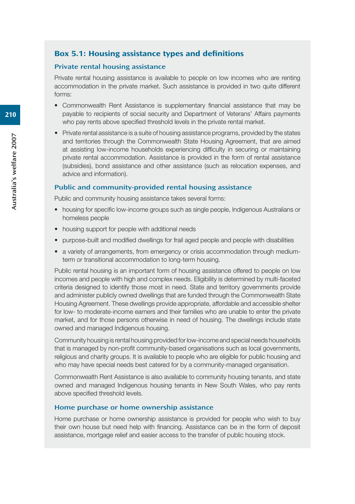## Box 5.1: Housing assistance types and definitions

#### Private rental housing assistance

Private rental housing assistance is available to people on low incomes who are renting accommodation in the private market. Such assistance is provided in two quite different forms:

- Commonwealth Rent Assistance is supplementary financial assistance that may be payable to recipients of social security and Department of Veterans' Affairs payments who pay rents above specified threshold levels in the private rental market.
- Private rental assistance is a suite of housing assistance programs, provided by the states and territories through the Commonwealth State Housing Agreement, that are aimed at assisting low-income households experiencing difficulty in securing or maintaining private rental accommodation. Assistance is provided in the form of rental assistance (subsidies), bond assistance and other assistance (such as relocation expenses, and advice and information).

#### Public and community-provided rental housing assistance

Public and community housing assistance takes several forms:

- housing for specific low-income groups such as single people, Indigenous Australians or homeless people
- housing support for people with additional needs
- purpose-built and modified dwellings for frail aged people and people with disabilities
- a variety of arrangements, from emergency or crisis accommodation through mediumterm or transitional accommodation to long-term housing.

Public rental housing is an important form of housing assistance offered to people on low incomes and people with high and complex needs. Eligibility is determined by multi-faceted criteria designed to identify those most in need. State and territory governments provide and administer publicly owned dwellings that are funded through the Commonwealth State Housing Agreement. These dwellings provide appropriate, affordable and accessible shelter for low- to moderate-income earners and their families who are unable to enter the private market, and for those persons otherwise in need of housing. The dwellings include state owned and managed Indigenous housing.

Community housing is rental housing provided for low-income and special needs households that is managed by non-profit community-based organisations such as local governments, religious and charity groups. It is available to people who are eligible for public housing and who may have special needs best catered for by a community-managed organisation.

Commonwealth Rent Assistance is also available to community housing tenants, and state owned and managed Indigenous housing tenants in New South Wales, who pay rents above specified threshold levels.

#### Home purchase or home ownership assistance

Home purchase or home ownership assistance is provided for people who wish to buy their own house but need help with financing. Assistance can be in the form of deposit assistance, mortgage relief and easier access to the transfer of public housing stock.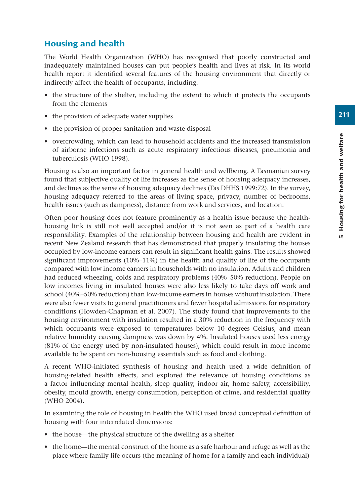# Housing and health

The World Health Organization (WHO) has recognised that poorly constructed and inadequately maintained houses can put people's health and lives at risk. In its world health report it identified several features of the housing environment that directly or indirectly affect the health of occupants, including:

- the structure of the shelter, including the extent to which it protects the occupants from the elements
- the provision of adequate water supplies
- the provision of proper sanitation and waste disposal
- overcrowding, which can lead to household accidents and the increased transmission of airborne infections such as acute respiratory infectious diseases, pneumonia and tuberculosis (WHO 1998).

Housing is also an important factor in general health and wellbeing. A Tasmanian survey found that subjective quality of life increases as the sense of housing adequacy increases, and declines as the sense of housing adequacy declines (Tas DHHS 1999:72). In the survey, housing adequacy referred to the areas of living space, privacy, number of bedrooms, health issues (such as dampness), distance from work and services, and location.

Often poor housing does not feature prominently as a health issue because the healthhousing link is still not well accepted and/or it is not seen as part of a health care responsibility. Examples of the relationship between housing and health are evident in recent New Zealand research that has demonstrated that properly insulating the houses occupied by low-income earners can result in significant health gains. The results showed significant improvements (10%–11%) in the health and quality of life of the occupants compared with low income earners in households with no insulation. Adults and children had reduced wheezing, colds and respiratory problems (40%–50% reduction). People on low incomes living in insulated houses were also less likely to take days off work and school (40%–50% reduction) than low-income earners in houses without insulation. There were also fewer visits to general practitioners and fewer hospital admissions for respiratory conditions (Howden-Chapman et al. 2007). The study found that improvements to the housing environment with insulation resulted in a 30% reduction in the frequency with which occupants were exposed to temperatures below 10 degrees Celsius, and mean relative humidity causing dampness was down by 4%. Insulated houses used less energy (81% of the energy used by non-insulated houses), which could result in more income available to be spent on non-housing essentials such as food and clothing.

A recent WHO-initiated synthesis of housing and health used a wide definition of housing-related health effects, and explored the relevance of housing conditions as a factor influencing mental health, sleep quality, indoor air, home safety, accessibility, obesity, mould growth, energy consumption, perception of crime, and residential quality (WHO 2004).

In examining the role of housing in health the WHO used broad conceptual definition of housing with four interrelated dimensions:

- the house—the physical structure of the dwelling as a shelter
- the home—the mental construct of the home as a safe harbour and refuge as well as the place where family life occurs (the meaning of home for a family and each individual)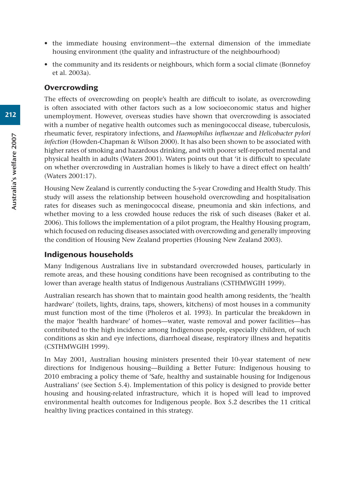- the immediate housing environment—the external dimension of the immediate housing environment (the quality and infrastructure of the neighbourhood)
- the community and its residents or neighbours, which form a social climate (Bonnefoy et al. 2003a).

## **Overcrowding**

The effects of overcrowding on people's health are difficult to isolate, as overcrowding is often associated with other factors such as a low socioeconomic status and higher unemployment. However, overseas studies have shown that overcrowding is associated with a number of negative health outcomes such as meningococcal disease, tuberculosis, rheumatic fever, respiratory infections, and *Haemophilus influenzae* and *Helicobacter pylori infection* (Howden-Chapman & Wilson 2000). It has also been shown to be associated with higher rates of smoking and hazardous drinking, and with poorer self-reported mental and physical health in adults (Waters 2001). Waters points out that 'it is difficult to speculate on whether overcrowding in Australian homes is likely to have a direct effect on health' (Waters 2001:17).

Housing New Zealand is currently conducting the 5-year Crowding and Health Study. This study will assess the relationship between household overcrowding and hospitalisation rates for diseases such as meningococcal disease, pneumonia and skin infections, and whether moving to a less crowded house reduces the risk of such diseases (Baker et al. 2006). This follows the implementation of a pilot program, the Healthy Housing program, which focused on reducing diseases associated with overcrowding and generally improving the condition of Housing New Zealand properties (Housing New Zealand 2003).

## Indigenous households

Many Indigenous Australians live in substandard overcrowded houses, particularly in remote areas, and these housing conditions have been recognised as contributing to the lower than average health status of Indigenous Australians (CSTHMWGIH 1999).

Australian research has shown that to maintain good health among residents, the 'health hardware' (toilets, lights, drains, taps, showers, kitchens) of most houses in a community must function most of the time (Pholeros et al. 1993). In particular the breakdown in the major 'health hardware' of homes—water, waste removal and power facilities—has contributed to the high incidence among Indigenous people, especially children, of such conditions as skin and eye infections, diarrhoeal disease, respiratory illness and hepatitis (CSTHMWGIH 1999).

In May 2001, Australian housing ministers presented their 10-year statement of new directions for Indigenous housing—Building a Better Future: Indigenous housing to 2010 embracing a policy theme of 'Safe, healthy and sustainable housing for Indigenous Australians' (see Section 5.4). Implementation of this policy is designed to provide better housing and housing-related infrastructure, which it is hoped will lead to improved environmental health outcomes for Indigenous people. Box 5.2 describes the 11 critical healthy living practices contained in this strategy.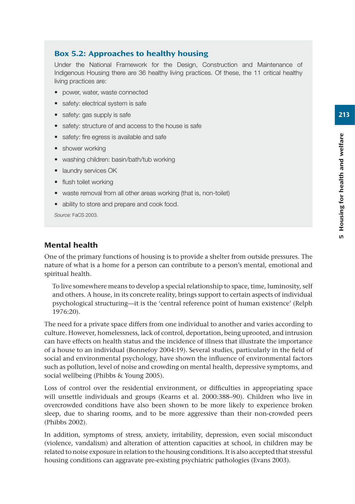#### Box 5.2: Approaches to healthy housing

Under the National Framework for the Design, Construction and Maintenance of Indigenous Housing there are 36 healthy living practices. Of these, the 11 critical healthy living practices are:

- power, water, waste connected
- safety: electrical system is safe
- safety: gas supply is safe
- safety: structure of and access to the house is safe
- safety: fire egress is available and safe
- shower working
- washing children: basin/bath/tub working
- laundry services OK
- flush toilet working
- waste removal from all other areas working (that is, non-toilet)
- ability to store and prepare and cook food.

*Source:* FaCS 2003.

## Mental health

One of the primary functions of housing is to provide a shelter from outside pressures. The nature of what is a home for a person can contribute to a person's mental, emotional and spiritual health.

To live somewhere means to develop a special relationship to space, time, luminosity, self and others. A house, in its concrete reality, brings support to certain aspects of individual psychological structuring—it is the 'central reference point of human existence' (Relph 1976:20).

The need for a private space differs from one individual to another and varies according to culture. However, homelessness, lack of control, deportation, being uprooted, and intrusion can have effects on health status and the incidence of illness that illustrate the importance of a house to an individual (Bonnefoy 2004:19). Several studies, particularly in the field of social and environmental psychology, have shown the influence of environmental factors such as pollution, level of noise and crowding on mental health, depressive symptoms, and social wellbeing (Phibbs & Young 2005).

Loss of control over the residential environment, or difficulties in appropriating space will unsettle individuals and groups (Kearns et al. 2000:388–90). Children who live in overcrowded conditions have also been shown to be more likely to experience broken sleep, due to sharing rooms, and to be more aggressive than their non-crowded peers (Phibbs 2002).

In addition, symptoms of stress, anxiety, irritability, depression, even social misconduct (violence, vandalism) and alteration of attention capacities at school, in children may be related to noise exposure in relation to the housing conditions. It is also accepted that stressful housing conditions can aggravate pre-existing psychiatric pathologies (Evans 2003).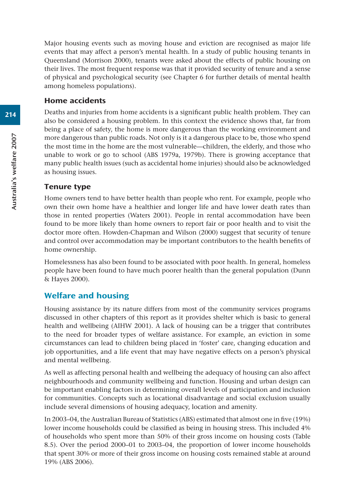Major housing events such as moving house and eviction are recognised as major life events that may affect a person's mental health. In a study of public housing tenants in Queensland (Morrison 2000), tenants were asked about the effects of public housing on their lives. The most frequent response was that it provided security of tenure and a sense of physical and psychological security (see Chapter 6 for further details of mental health among homeless populations).

## Home accidents

Deaths and injuries from home accidents is a significant public health problem. They can also be considered a housing problem. In this context the evidence shows that, far from being a place of safety, the home is more dangerous than the working environment and more dangerous than public roads. Not only is it a dangerous place to be, those who spend the most time in the home are the most vulnerable—children, the elderly, and those who unable to work or go to school (ABS 1979a, 1979b). There is growing acceptance that many public health issues (such as accidental home injuries) should also be acknowledged as housing issues.

## Tenure type

Home owners tend to have better health than people who rent. For example, people who own their own home have a healthier and longer life and have lower death rates than those in rented properties (Waters 2001). People in rental accommodation have been found to be more likely than home owners to report fair or poor health and to visit the doctor more often. Howden-Chapman and Wilson (2000) suggest that security of tenure and control over accommodation may be important contributors to the health benefits of home ownership.

Homelessness has also been found to be associated with poor health. In general, homeless people have been found to have much poorer health than the general population (Dunn & Hayes 2000).

## Welfare and housing

Housing assistance by its nature differs from most of the community services programs discussed in other chapters of this report as it provides shelter which is basic to general health and wellbeing (AIHW 2001). A lack of housing can be a trigger that contributes to the need for broader types of welfare assistance. For example, an eviction in some circumstances can lead to children being placed in 'foster' care, changing education and job opportunities, and a life event that may have negative effects on a person's physical and mental wellbeing.

As well as affecting personal health and wellbeing the adequacy of housing can also affect neighbourhoods and community wellbeing and function. Housing and urban design can be important enabling factors in determining overall levels of participation and inclusion for communities. Concepts such as locational disadvantage and social exclusion usually include several dimensions of housing adequacy, location and amenity.

In 2003–04, the Australian Bureau of Statistics (ABS) estimated that almost one in five (19%) lower income households could be classified as being in housing stress. This included 4% of households who spent more than 50% of their gross income on housing costs (Table 8.5). Over the period 2000–01 to 2003–04, the proportion of lower income households that spent 30% or more of their gross income on housing costs remained stable at around 19% (ABS 2006).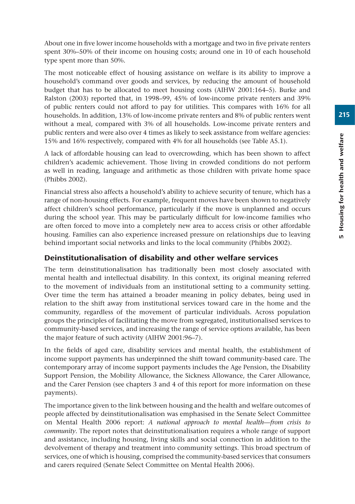About one in five lower income households with a mortgage and two in five private renters spent 30%–50% of their income on housing costs; around one in 10 of each household type spent more than 50%.

The most noticeable effect of housing assistance on welfare is its ability to improve a household's command over goods and services, by reducing the amount of household budget that has to be allocated to meet housing costs (AIHW 2001:164–5). Burke and Ralston (2003) reported that, in 1998–99, 45% of low-income private renters and 39% of public renters could not afford to pay for utilities. This compares with 16% for all households. In addition, 13% of low-income private renters and 8% of public renters went without a meal, compared with 3% of all households. Low-income private renters and public renters and were also over 4 times as likely to seek assistance from welfare agencies: 15% and 16% respectively, compared with 4% for all households (see Table A5.1).

A lack of affordable housing can lead to overcrowding, which has been shown to affect children's academic achievement. Those living in crowded conditions do not perform as well in reading, language and arithmetic as those children with private home space (Phibbs 2002).

Financial stress also affects a household's ability to achieve security of tenure, which has a range of non-housing effects. For example, frequent moves have been shown to negatively affect children's school performance, particularly if the move is unplanned and occurs during the school year. This may be particularly difficult for low-income families who are often forced to move into a completely new area to access crisis or other affordable housing. Families can also experience increased pressure on relationships due to leaving behind important social networks and links to the local community (Phibbs 2002).

#### Deinstitutionalisation of disability and other welfare services

The term deinstitutionalisation has traditionally been most closely associated with mental health and intellectual disability. In this context, its original meaning referred to the movement of individuals from an institutional setting to a community setting. Over time the term has attained a broader meaning in policy debates, being used in relation to the shift away from institutional services toward care in the home and the community, regardless of the movement of particular individuals. Across population groups the principles of facilitating the move from segregated, institutionalised services to community-based services, and increasing the range of service options available, has been the major feature of such activity (AIHW 2001:96–7).

In the fields of aged care, disability services and mental health, the establishment of income support payments has underpinned the shift toward community-based care. The contemporary array of income support payments includes the Age Pension, the Disability Support Pension, the Mobility Allowance, the Sickness Allowance, the Carer Allowance, and the Carer Pension (see chapters 3 and 4 of this report for more information on these payments).

The importance given to the link between housing and the health and welfare outcomes of people affected by deinstitutionalisation was emphasised in the Senate Select Committee on Mental Health 2006 report: *A national approach to mental health—from crisis to community*. The report notes that deinstitutionalisation requires a whole range of support and assistance, including housing, living skills and social connection in addition to the devolvement of therapy and treatment into community settings. This broad spectrum of services, one of which is housing, comprised the community-based services that consumers and carers required (Senate Select Committee on Mental Health 2006).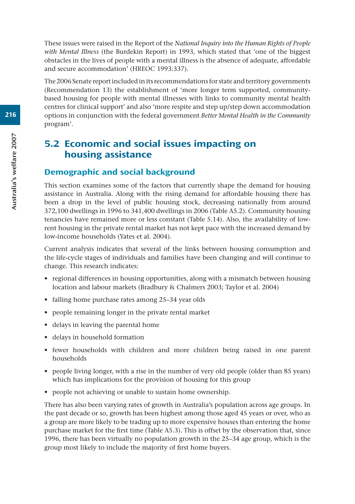These issues were raised in the Report of the *National Inquiry into the Human Rights of People with Mental Illness* (the Burdekin Report) in 1993, which stated that 'one of the biggest obstacles in the lives of people with a mental illness is the absence of adequate, affordable and secure accommodation' (HREOC 1993:337).

The 2006 Senate report included in its recommendations for state and territory governments (Recommendation 13) the establishment of 'more longer term supported, communitybased housing for people with mental illnesses with links to community mental health centres for clinical support' and also 'more respite and step up/step down accommodation options in conjunction with the federal government *Better Mental Health in the Community*  program'.

# 5.2 Economic and social issues impacting on housing assistance

# Demographic and social background

This section examines some of the factors that currently shape the demand for housing assistance in Australia. Along with the rising demand for affordable housing there has been a drop in the level of public housing stock, decreasing nationally from around 372,100 dwellings in 1996 to 341,400 dwellings in 2006 (Table A5.2). Community housing tenancies have remained more or less constant (Table 5.14). Also, the availability of lowrent housing in the private rental market has not kept pace with the increased demand by low-income households (Yates et al. 2004).

Current analysis indicates that several of the links between housing consumption and the life-cycle stages of individuals and families have been changing and will continue to change. This research indicates:

- regional differences in housing opportunities, along with a mismatch between housing location and labour markets (Bradbury & Chalmers 2003; Taylor et al. 2004)
- falling home purchase rates among 25–34 year olds
- people remaining longer in the private rental market
- delays in leaving the parental home
- delays in household formation
- fewer households with children and more children being raised in one parent households
- people living longer, with a rise in the number of very old people (older than 85 years) which has implications for the provision of housing for this group
- people not achieving or unable to sustain home ownership.

There has also been varying rates of growth in Australia's population across age groups. In the past decade or so, growth has been highest among those aged 45 years or over, who as a group are more likely to be trading up to more expensive houses than entering the home purchase market for the first time (Table A5.3). This is offset by the observation that, since 1996, there has been virtually no population growth in the 25–34 age group, which is the group most likely to include the majority of first home buyers.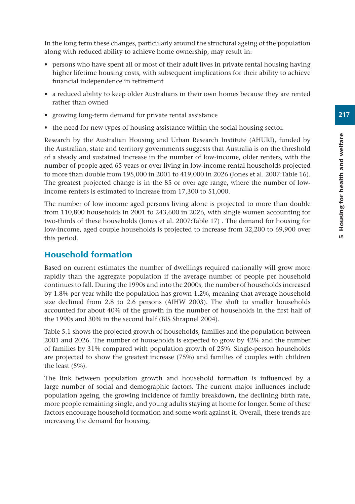In the long term these changes, particularly around the structural ageing of the population along with reduced ability to achieve home ownership, may result in:

- persons who have spent all or most of their adult lives in private rental housing having higher lifetime housing costs, with subsequent implications for their ability to achieve financial independence in retirement
- a reduced ability to keep older Australians in their own homes because they are rented rather than owned
- growing long-term demand for private rental assistance
- the need for new types of housing assistance within the social housing sector.

Research by the Australian Housing and Urban Research Institute (AHURI), funded by the Australian, state and territory governments suggests that Australia is on the threshold of a steady and sustained increase in the number of low-income, older renters, with the number of people aged 65 years or over living in low-income rental households projected to more than double from 195,000 in 2001 to 419,000 in 2026 (Jones et al. 2007:Table 16). The greatest projected change is in the 85 or over age range, where the number of lowincome renters is estimated to increase from 17,300 to 51,000.

The number of low income aged persons living alone is projected to more than double from 110,800 households in 2001 to 243,600 in 2026, with single women accounting for two-thirds of these households (Jones et al. 2007:Table 17) . The demand for housing for low-income, aged couple households is projected to increase from 32,200 to 69,900 over this period.

## Household formation

Based on current estimates the number of dwellings required nationally will grow more rapidly than the aggregate population if the average number of people per household continues to fall. During the 1990s and into the 2000s, the number of households increased by 1.8% per year while the population has grown 1.2%, meaning that average household size declined from 2.8 to 2.6 persons (AIHW 2003). The shift to smaller households accounted for about 40% of the growth in the number of households in the first half of the 1990s and 30% in the second half (BIS Shrapnel 2004).

Table 5.1 shows the projected growth of households, families and the population between 2001 and 2026. The number of households is expected to grow by 42% and the number of families by 31% compared with population growth of 25%. Single-person households are projected to show the greatest increase (75%) and families of couples with children the least (5%).

The link between population growth and household formation is influenced by a large number of social and demographic factors. The current major influences include population ageing, the growing incidence of family breakdown, the declining birth rate, more people remaining single, and young adults staying at home for longer. Some of these factors encourage household formation and some work against it. Overall, these trends are increasing the demand for housing.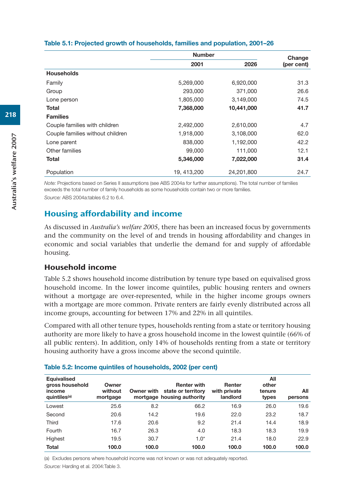|                                  | <b>Number</b> | Change     |            |
|----------------------------------|---------------|------------|------------|
|                                  | 2001          | 2026       | (per cent) |
| <b>Households</b>                |               |            |            |
| Family                           | 5,269,000     | 6,920,000  | 31.3       |
| Group                            | 293,000       | 371,000    | 26.6       |
| Lone person                      | 1,805,000     | 3.149.000  | 74.5       |
| Total                            | 7,368,000     | 10,441,000 | 41.7       |
| <b>Families</b>                  |               |            |            |
| Couple families with children    | 2,492,000     | 2,610,000  | 4.7        |
| Couple families without children | 1,918,000     | 3,108,000  | 62.0       |
| Lone parent                      | 838,000       | 1,192,000  | 42.2       |
| Other families                   | 99,000        | 111,000    | 12.1       |
| Total                            | 5,346,000     | 7,022,000  | 31.4       |
| Population                       | 19, 413, 200  | 24,201,800 | 24.7       |

#### **Table 5.1: Projected growth of households, families and population, 2001–26**

*Note:* Projections based on Series II assumptions (see ABS 2004a for further assumptions). The total number of families exceeds the total number of family households as some households contain two or more families. *Source:* ABS 2004a:tables 6.2 to 6.4.

# Housing affordability and income

As discussed in *Australia's welfare 2005*, there has been an increased focus by governments and the community on the level of and trends in housing affordability and changes in economic and social variables that underlie the demand for and supply of affordable housing.

## Household income

Table 5.2 shows household income distribution by tenure type based on equivalised gross household income. In the lower income quintiles, public housing renters and owners without a mortgage are over-represented, while in the higher income groups owners with a mortgage are more common. Private renters are fairly evenly distributed across all income groups, accounting for between 17% and 22% in all quintiles.

Compared with all other tenure types, households renting from a state or territory housing authority are more likely to have a gross household income in the lowest quintile (66% of all public renters). In addition, only 14% of households renting from a state or territory housing authority have a gross income above the second quintile.

| <b>Equivalised</b><br>gross household<br>income<br>quintiles <sup>(a)</sup> | Owner<br>without<br>mortgage | Owner with | <b>Renter with</b><br>state or territory<br>mortgage housing authority | Renter<br>with private<br>landlord | All<br>other<br>tenure<br>types | All<br>persons |
|-----------------------------------------------------------------------------|------------------------------|------------|------------------------------------------------------------------------|------------------------------------|---------------------------------|----------------|
| Lowest                                                                      | 25.6                         | 8.2        | 66.2                                                                   | 16.9                               | 26.0                            | 19.6           |
| Second                                                                      | 20.6                         | 14.2       | 19.6                                                                   | 22.0                               | 23.2                            | 18.7           |
| Third                                                                       | 17.6                         | 20.6       | 9.2                                                                    | 21.4                               | 14.4                            | 18.9           |
| Fourth                                                                      | 16.7                         | 26.3       | 4.0                                                                    | 18.3                               | 18.3                            | 19.9           |
| Highest                                                                     | 19.5                         | 30.7       | $1.0*$                                                                 | 21.4                               | 18.0                            | 22.9           |
| <b>Total</b>                                                                | 100.0                        | 100.0      | 100.0                                                                  | 100.0                              | 100.0                           | 100.0          |

#### **Table 5.2: Income quintiles of households, 2002 (per cent)**

(a) Excludes persons where household income was not known or was not adequately reported.

*Source:* Harding et al. 2004:Table 3.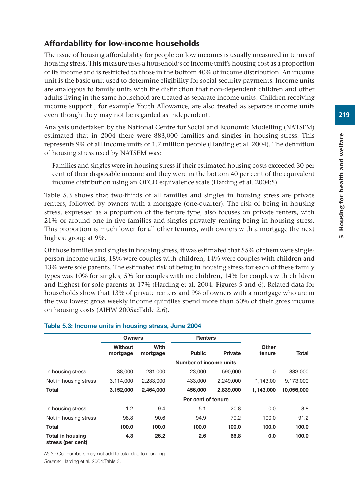# Affordability for low-income households

The issue of housing affordability for people on low incomes is usually measured in terms of housing stress. This measure uses a household's or income unit's housing cost as a proportion of its income and is restricted to those in the bottom 40% of income distribution. An income unit is the basic unit used to determine eligibility for social security payments. Income units are analogous to family units with the distinction that non-dependent children and other adults living in the same household are treated as separate income units. Children receiving income support , for example Youth Allowance, are also treated as separate income units even though they may not be regarded as independent.

Analysis undertaken by the National Centre for Social and Economic Modelling (NATSEM) estimated that in 2004 there were 883,000 families and singles in housing stress. This represents 9% of all income units or 1.7 million people (Harding et al. 2004). The definition of housing stress used by NATSEM was:

Families and singles were in housing stress if their estimated housing costs exceeded 30 per cent of their disposable income and they were in the bottom 40 per cent of the equivalent income distribution using an OECD equivalence scale (Harding et al. 2004:5).

Table 5.3 shows that two-thirds of all families and singles in housing stress are private renters, followed by owners with a mortgage (one-quarter). The risk of being in housing stress, expressed as a proportion of the tenure type, also focuses on private renters, with 21% or around one in five families and singles privately renting being in housing stress. This proportion is much lower for all other tenures, with owners with a mortgage the next highest group at 9%.

Of those families and singles in housing stress, it was estimated that 55% of them were singleperson income units, 18% were couples with children, 14% were couples with children and 13% were sole parents. The estimated risk of being in housing stress for each of these family types was 10% for singles, 5% for couples with no children, 14% for couples with children and highest for sole parents at 17% (Harding et al. 2004: Figures 5 and 6). Related data for households show that 13% of private renters and 9% of owners with a mortgage who are in the two lowest gross weekly income quintiles spend more than 50% of their gross income on housing costs (AIHW 2005a:Table 2.6).

|                                              | <b>Owners</b>       |                  | <b>Renters</b>         |           |                 |            |
|----------------------------------------------|---------------------|------------------|------------------------|-----------|-----------------|------------|
|                                              | Without<br>mortgage | With<br>mortgage | <b>Public</b>          | Private   | Other<br>tenure | Total      |
|                                              |                     |                  | Number of income units |           |                 |            |
| In housing stress                            | 38,000              | 231,000          | 23,000                 | 590.000   | 0               | 883,000    |
| Not in housing stress                        | 3.114.000           | 2.233.000        | 433,000                | 2.249.000 | 1.143.00        | 9.173.000  |
| <b>Total</b>                                 | 3,152,000           | 2,464,000        | 456,000                | 2,839,000 | 1,143,000       | 10,056,000 |
|                                              |                     |                  | Per cent of tenure     |           |                 |            |
| In housing stress                            | 1.2                 | 9.4              | 5.1                    | 20.8      | 0.0             | 8.8        |
| Not in housing stress                        | 98.8                | 90.6             | 94.9                   | 79.2      | 100.0           | 91.2       |
| Total                                        | 100.0               | 100.0            | 100.0                  | 100.0     | 100.0           | 100.0      |
| <b>Total in housing</b><br>stress (per cent) | 4.3                 | 26.2             | 2.6                    | 66.8      | 0.0             | 100.0      |

#### **Table 5.3: Income units in housing stress, June 2004**

*Note:* Cell numbers may not add to total due to rounding. *Source:* Harding et al. 2004:Table 3.

219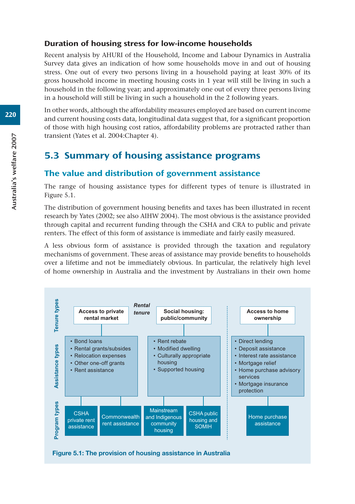#### Duration of housing stress for low-income households

Recent analysis by AHURI of the Household, Income and Labour Dynamics in Australia Survey data gives an indication of how some households move in and out of housing stress. One out of every two persons living in a household paying at least 30% of its gross household income in meeting housing costs in 1 year will still be living in such a household in the following year; and approximately one out of every three persons living in a household will still be living in such a household in the 2 following years.

In other words, although the affordability measures employed are based on current income and current housing costs data, longitudinal data suggest that, for a significant proportion of those with high housing cost ratios, affordability problems are protracted rather than transient (Yates et al. 2004:Chapter 4).

# 5.3 Summary of housing assistance programs

## The value and distribution of government assistance

The range of housing assistance types for different types of tenure is illustrated in Figure 5.1.

The distribution of government housing benefits and taxes has been illustrated in recent research by Yates (2002; see also AIHW 2004). The most obvious is the assistance provided through capital and recurrent funding through the CSHA and CRA to public and private renters. The effect of this form of assistance is immediate and fairly easily measured.

A less obvious form of assistance is provided through the taxation and regulatory mechanisms of government. These areas of assistance may provide benefits to households over a lifetime and not be immediately obvious. In particular, the relatively high level of home ownership in Australia and the investment by Australians in their own home

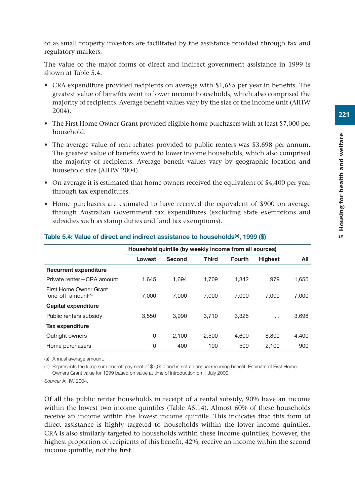or as small property investors are facilitated by the assistance provided through tax and regulatory markets.

The value of the major forms of direct and indirect government assistance in 1999 is shown at Table 5.4.

- CRA expenditure provided recipients on average with \$1,655 per year in benefits. The greatest value of benefits went to lower income households, which also comprised the majority of recipients. Average benefit values vary by the size of the income unit (AIHW 2004).
- The First Home Owner Grant provided eligible home purchasers with at least \$7,000 per household.
- The average value of rent rebates provided to public renters was \$3,698 per annum. The greatest value of benefits went to lower income households, which also comprised the majority of recipients. Average benefit values vary by geographic location and household size (AIHW 2004).
- On average it is estimated that home owners received the equivalent of \$4,400 per year through tax expenditures.
- Home purchasers are estimated to have received the equivalent of \$900 on average through Australian Government tax expenditures (excluding state exemptions and subsidies such as stamp duties and land tax exemptions).

|                                                           |        | Household quintile (by weekly income from all sources) |              |               |                      |       |  |
|-----------------------------------------------------------|--------|--------------------------------------------------------|--------------|---------------|----------------------|-------|--|
|                                                           | Lowest | Second                                                 | <b>Third</b> | <b>Fourth</b> | <b>Highest</b>       | All   |  |
| <b>Recurrent expenditure</b>                              |        |                                                        |              |               |                      |       |  |
| Private renter-CRA amount                                 | 1.645  | 1.694                                                  | 1.709        | 1.342         | 979                  | 1.655 |  |
| First Home Owner Grant<br>'one-off' amount <sup>(b)</sup> | 7.000  | 7.000                                                  | 7.000        | 7.000         | 7.000                | 7.000 |  |
| Capital expenditure                                       |        |                                                        |              |               |                      |       |  |
| Public renters subsidy                                    | 3.550  | 3.990                                                  | 3.710        | 3.325         | $\ddot{\phantom{0}}$ | 3,698 |  |
| Tax expenditure                                           |        |                                                        |              |               |                      |       |  |
| Outright owners                                           | 0      | 2.100                                                  | 2,500        | 4.600         | 8.800                | 4,400 |  |
| Home purchasers                                           | 0      | 400                                                    | 100          | 500           | 2.100                | 900   |  |

#### Table 5.4: Value of direct and indirect assistance to households<sup>(a)</sup>, 1999 (\$)

(a) Annual average amount.

(b) Represents the lump sum one-off payment of \$7,000 and is not an annual recurring benefit. Estimate of First Home Owners Grant value for 1999 based on value at time of introduction on 1 July 2000.

*Source:* AIHW 2004.

Of all the public renter households in receipt of a rental subsidy, 90% have an income within the lowest two income quintiles (Table A5.14). Almost 60% of these households receive an income within the lowest income quintile. This indicates that this form of direct assistance is highly targeted to households within the lower income quintiles. CRA is also similarly targeted to households within these income quintiles; however, the highest proportion of recipients of this benefit, 42%, receive an income within the second income quintile, not the first.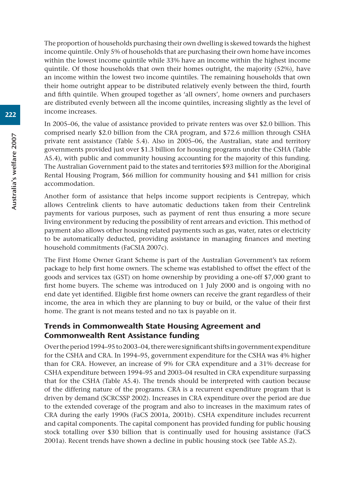The proportion of households purchasing their own dwelling is skewed towards the highest income quintile. Only 5% of households that are purchasing their own home have incomes within the lowest income quintile while 33% have an income within the highest income quintile. Of those households that own their homes outright, the majority (52%), have an income within the lowest two income quintiles. The remaining households that own their home outright appear to be distributed relatively evenly between the third, fourth and fifth quintile. When grouped together as 'all owners', home owners and purchasers are distributed evenly between all the income quintiles, increasing slightly as the level of income increases.

In 2005–06, the value of assistance provided to private renters was over \$2.0 billion. This comprised nearly \$2.0 billion from the CRA program, and \$72.6 million through CSHA private rent assistance (Table 5.4). Also in 2005–06, the Australian, state and territory governments provided just over \$1.3 billion for housing programs under the CSHA (Table A5.4), with public and community housing accounting for the majority of this funding. The Australian Government paid to the states and territories \$93 million for the Aboriginal Rental Housing Program, \$66 million for community housing and \$41 million for crisis accommodation.

Another form of assistance that helps income support recipients is Centrepay, which allows Centrelink clients to have automatic deductions taken from their Centrelink payments for various purposes, such as payment of rent thus ensuring a more secure living environment by reducing the possibility of rent arrears and eviction. This method of payment also allows other housing related payments such as gas, water, rates or electricity to be automatically deducted, providing assistance in managing finances and meeting household commitments (FaCSIA 2007c).

The First Home Owner Grant Scheme is part of the Australian Government's tax reform package to help first home owners. The scheme was established to offset the effect of the goods and services tax (GST) on home ownership by providing a one-off \$7,000 grant to first home buyers. The scheme was introduced on 1 July 2000 and is ongoing with no end date yet identified. Eligible first home owners can receive the grant regardless of their income, the area in which they are planning to buy or build, or the value of their first home. The grant is not means tested and no tax is payable on it.

## Trends in Commonwealth State Housing Agreement and Commonwealth Rent Assistance funding

Over the period 1994–95 to 2003–04, there were significant shifts in government expenditure for the CSHA and CRA. In 1994–95, government expenditure for the CSHA was 4% higher than for CRA. However, an increase of 9% for CRA expenditure and a 31% decrease for CSHA expenditure between 1994–95 and 2003–04 resulted in CRA expenditure surpassing that for the CSHA (Table A5.4). The trends should be interpreted with caution because of the differing nature of the programs. CRA is a recurrent expenditure program that is driven by demand (SCRCSSP 2002). Increases in CRA expenditure over the period are due to the extended coverage of the program and also to increases in the maximum rates of CRA during the early 1990s (FaCS 2001a, 2001b). CSHA expenditure includes recurrent and capital components. The capital component has provided funding for public housing stock totalling over \$30 billion that is continually used for housing assistance (FaCS 2001a). Recent trends have shown a decline in public housing stock (see Table A5.2).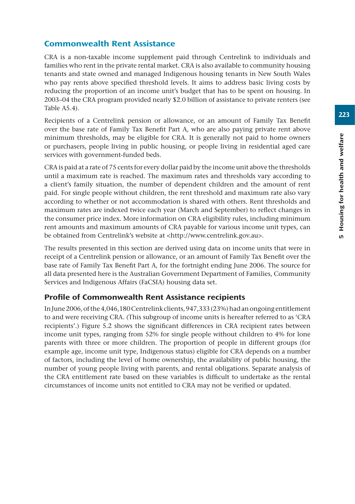223

# Commonwealth Rent Assistance

CRA is a non-taxable income supplement paid through Centrelink to individuals and families who rent in the private rental market. CRA is also available to community housing tenants and state owned and managed Indigenous housing tenants in New South Wales who pay rents above specified threshold levels. It aims to address basic living costs by reducing the proportion of an income unit's budget that has to be spent on housing. In 2003–04 the CRA program provided nearly \$2.0 billion of assistance to private renters (see Table A5.4).

Recipients of a Centrelink pension or allowance, or an amount of Family Tax Benefit over the base rate of Family Tax Benefit Part A, who are also paying private rent above minimum thresholds, may be eligible for CRA. It is generally not paid to home owners or purchasers, people living in public housing, or people living in residential aged care services with government-funded beds.

CRA is paid at a rate of 75 cents for every dollar paid by the income unit above the thresholds until a maximum rate is reached. The maximum rates and thresholds vary according to a client's family situation, the number of dependent children and the amount of rent paid. For single people without children, the rent threshold and maximum rate also vary according to whether or not accommodation is shared with others. Rent thresholds and maximum rates are indexed twice each year (March and September) to reflect changes in the consumer price index. More information on CRA eligibility rules, including minimum rent amounts and maximum amounts of CRA payable for various income unit types, can be obtained from Centrelink's website at <http://www.centrelink.gov.au>.

The results presented in this section are derived using data on income units that were in receipt of a Centrelink pension or allowance, or an amount of Family Tax Benefit over the base rate of Family Tax Benefit Part A, for the fortnight ending June 2006. The source for all data presented here is the Australian Government Department of Families, Community Services and Indigenous Affairs (FaCSIA) housing data set.

## Profile of Commonwealth Rent Assistance recipients

In June 2006, of the 4,046,180 Centrelink clients, 947,333 (23%) had an ongoing entitlement to and were receiving CRA. (This subgroup of income units is hereafter referred to as 'CRA recipients'.) Figure 5.2 shows the significant differences in CRA recipient rates between income unit types, ranging from 52% for single people without children to 4% for lone parents with three or more children. The proportion of people in different groups (for example age, income unit type, Indigenous status) eligible for CRA depends on a number of factors, including the level of home ownership, the availability of public housing, the number of young people living with parents, and rental obligations. Separate analysis of the CRA entitlement rate based on these variables is difficult to undertake as the rental circumstances of income units not entitled to CRA may not be verified or updated.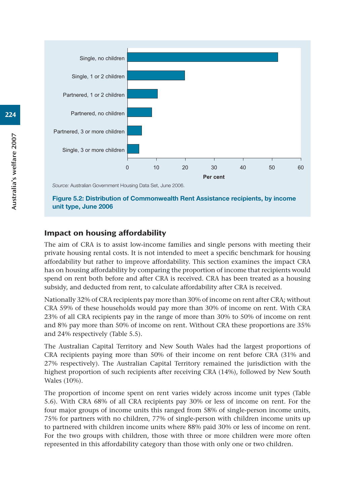

**Figure 5.2: Distribution of Commonwealth Rent Assistance recipients, by income unit type, June 2006**

## Impact on housing affordability

The aim of CRA is to assist low-income families and single persons with meeting their private housing rental costs. It is not intended to meet a specific benchmark for housing affordability but rather to improve affordability. This section examines the impact CRA has on housing affordability by comparing the proportion of income that recipients would spend on rent both before and after CRA is received. CRA has been treated as a housing subsidy, and deducted from rent, to calculate affordability after CRA is received.

Nationally 32% of CRA recipients pay more than 30% of income on rent after CRA; without CRA 59% of these households would pay more than 30% of income on rent. With CRA 23% of all CRA recipients pay in the range of more than 30% to 50% of income on rent and 8% pay more than 50% of income on rent. Without CRA these proportions are 35% and 24% respectively (Table 5.5).

The Australian Capital Territory and New South Wales had the largest proportions of CRA recipients paying more than 50% of their income on rent before CRA (31% and 27% respectively). The Australian Capital Territory remained the jurisdiction with the highest proportion of such recipients after receiving CRA (14%), followed by New South Wales (10%).

The proportion of income spent on rent varies widely across income unit types (Table 5.6). With CRA 68% of all CRA recipients pay 30% or less of income on rent. For the four major groups of income units this ranged from 58% of single-person income units, 75% for partners with no children, 77% of single-person with children income units up to partnered with children income units where 88% paid 30% or less of income on rent. For the two groups with children, those with three or more children were more often represented in this affordability category than those with only one or two children.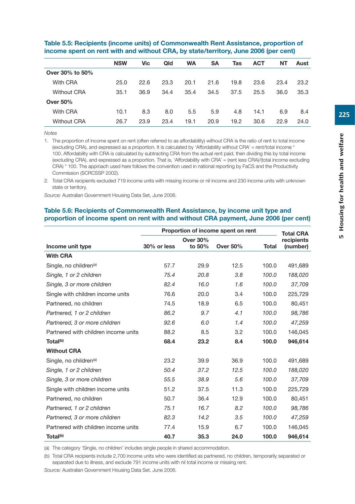|                    | <b>NSW</b> | Vic  | Qld  | <b>WA</b> | <b>SA</b> | Tas  | <b>ACT</b> | NΤ   | Aust |
|--------------------|------------|------|------|-----------|-----------|------|------------|------|------|
| Over 30% to 50%    |            |      |      |           |           |      |            |      |      |
| With CRA           | 25.0       | 22.6 | 23.3 | 20.1      | 21.6      | 19.8 | 23.6       | 23.4 | 23.2 |
| <b>Without CRA</b> | 35.1       | 36.9 | 34.4 | 35.4      | 34.5      | 37.5 | 25.5       | 36.0 | 35.3 |
| <b>Over 50%</b>    |            |      |      |           |           |      |            |      |      |
| With CRA           | 10.1       | 8.3  | 8.0  | 5.5       | 5.9       | 4.8  | 14.1       | 6.9  | 8.4  |
| <b>Without CRA</b> | 26.7       | 23.9 | 23.4 | 19.1      | 20.9      | 19.2 | 30.6       | 22.9 | 24.0 |

**Table 5.5: Recipients (income units) of Commonwealth Rent Assistance, proportion of income spent on rent with and without CRA, by state/territory, June 2006 (per cent)**

*Notes*

1. The proportion of income spent on rent (often referred to as affordability) without CRA is the ratio of rent to total income (excluding CRA), and expressed as a proportion. It is calculated by 'Affordability without CRA' = rent/total income \* 100. Affordability with CRA is calculated by subtracting CRA from the actual rent paid, then dividing this by total income (excluding CRA), and expressed as a proportion. That is, 'Affordability with CRA' = (rent less CRA)/(total income excluding CRA) \* 100. The approach used here follows the convention used in national reporting by FaCS and the Productivity Commission (SCRCSSP 2002).

2. Total CRA recipients excluded 719 income units with missing income or nil income and 230 income units with unknown state or territory.

*Source:* Australian Government Housing Data Set, June 2006.

#### **Table 5.6: Recipients of Commonwealth Rent Assistance, by income unit type and proportion of income spent on rent with and without CRA payment, June 2006 (per cent)**

|                                      | Proportion of income spent on rent | <b>Total CRA</b> |                 |              |            |
|--------------------------------------|------------------------------------|------------------|-----------------|--------------|------------|
|                                      |                                    | <b>Over 30%</b>  |                 |              | recipients |
| Income unit type                     | 30% or less                        | to 50%           | <b>Over 50%</b> | <b>Total</b> | (number)   |
| <b>With CRA</b>                      |                                    |                  |                 |              |            |
| Single, no children <sup>(a)</sup>   | 57.7                               | 29.9             | 12.5            | 100.0        | 491,689    |
| Single, 1 or 2 children              | 75.4                               | 20.8             | 3.8             | 100.0        | 188,020    |
| Single, 3 or more children           | 82.4                               | 16.0             | 1.6             | 100.0        | 37,709     |
| Single with children income units    | 76.6                               | 20.0             | 3.4             | 100.0        | 225.729    |
| Partnered, no children               | 74.5                               | 18.9             | 6.5             | 100.0        | 80,451     |
| Partnered, 1 or 2 children           | 86.2                               | 9.7              | 4.1             | 100.0        | 98,786     |
| Partnered, 3 or more children        | 92.6                               | 6.0              | 1.4             | 100.0        | 47,259     |
| Partnered with children income units | 88.2                               | 8.5              | 3.2             | 100.0        | 146,045    |
| Total <sup>(b)</sup>                 | 68.4                               | 23.2             | 8.4             | 100.0        | 946,614    |
| <b>Without CRA</b>                   |                                    |                  |                 |              |            |
| Single, no children <sup>(a)</sup>   | 23.2                               | 39.9             | 36.9            | 100.0        | 491,689    |
| Single, 1 or 2 children              | 50.4                               | 37.2             | 12.5            | 100.0        | 188,020    |
| Single, 3 or more children           | 55.5                               | 38.9             | 5.6             | 100.0        | 37,709     |
| Single with children income units    | 51.2                               | 37.5             | 11.3            | 100.0        | 225,729    |
| Partnered, no children               | 50.7                               | 36.4             | 12.9            | 100.0        | 80,451     |
| Partnered, 1 or 2 children           | 75.1                               | 16.7             | 8.2             | 100.0        | 98,786     |
| Partnered, 3 or more children        | 82.3                               | 14.2             | 3.5             | 100.0        | 47,259     |
| Partnered with children income units | 77.4                               | 15.9             | 6.7             | 100.0        | 146,045    |
| Total <sup>(b)</sup>                 | 40.7                               | 35.3             | 24.0            | 100.0        | 946,614    |

(a) The category 'Single, no children' includes single people in shared accommodation.

(b) Total CRA recipients include 2,700 income units who were identified as partnered, no children, temporarily separated or separated due to illness, and exclude 791 income units with nil total income or missing rent.

*Source:* Australian Government Housing Data Set, June 2006.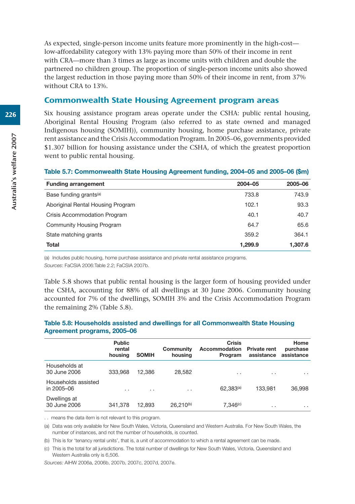As expected, single-person income units feature more prominently in the high-cost low-affordability category with 13% paying more than 50% of their income in rent with CRA—more than 3 times as large as income units with children and double the partnered no children group. The proportion of single-person income units also showed the largest reduction in those paying more than 50% of their income in rent, from 37% without CRA to 13%.

## Commonwealth State Housing Agreement program areas

Six housing assistance program areas operate under the CSHA: public rental housing, Aboriginal Rental Housing Program (also referred to as state owned and managed Indigenous housing (SOMIH)), community housing, home purchase assistance, private rent assistance and the Crisis Accommodation Program. In 2005–06, governments provided \$1.307 billion for housing assistance under the CSHA, of which the greatest proportion went to public rental housing.

#### **Table 5.7: Commonwealth State Housing Agreement funding, 2004–05 and 2005–06 (\$m)**

| 2004-05 | 2005-06 |
|---------|---------|
| 733.8   | 743.9   |
| 102.1   | 93.3    |
| 40.1    | 40.7    |
| 64.7    | 65.6    |
| 359.2   | 364.1   |
| 1,299.9 | 1,307.6 |
|         |         |

(a) Includes public housing, home purchase assistance and private rental assistance programs.

*Sources*: FaCSIA 2006:Table 2.2; FaCSIA 2007b.

Table 5.8 shows that public rental housing is the larger form of housing provided under the CSHA, accounting for 88% of all dwellings at 30 June 2006. Community housing accounted for 7% of the dwellings, SOMIH 3% and the Crisis Accommodation Program the remaining 2% (Table 5.8).

#### **Table 5.8: Households assisted and dwellings for all Commonwealth State Housing Agreement programs, 2005–06**

|                                   | <b>Public</b><br>rental<br>housing | <b>SOMIH</b> | Community<br>housing | <b>Crisis</b><br>Accommodation<br>Program | <b>Private rent</b><br>assistance | Home<br>purchase<br>assistance |
|-----------------------------------|------------------------------------|--------------|----------------------|-------------------------------------------|-----------------------------------|--------------------------------|
| Households at<br>30 June 2006     | 333,968                            | 12.386       | 28.582               | $\cdot$ $\cdot$                           | $\cdot$ .                         | $\cdot$ $\cdot$                |
| Households assisted<br>in 2005-06 | $\cdot$ $\cdot$                    | $\sim$       | $\cdot$ $\cdot$      | $62.383^{(a)}$                            | 133.981                           | 36.998                         |
| Dwellings at<br>30 June 2006      | 341,378                            | 12.893       | $26.210^{(b)}$       | 7.346 <sup>(c)</sup>                      | $\sim$                            | $\cdot$ $\cdot$                |

. . means the data item is not relevant to this program.

(a) Data was only available for New South Wales, Victoria, Queensland and Western Australia. For New South Wales, the number of instances, and not the number of households, is counted.

(b) This is for 'tenancy rental units', that is, a unit of accommodation to which a rental agreement can be made.

(c) This is the total for all jurisdictions. The total number of dwellings for New South Wales, Victoria, Queensland and Western Australia only is 6,506.

*Sources:* AIHW 2006a, 2006b, 2007b, 2007c, 2007d, 2007e.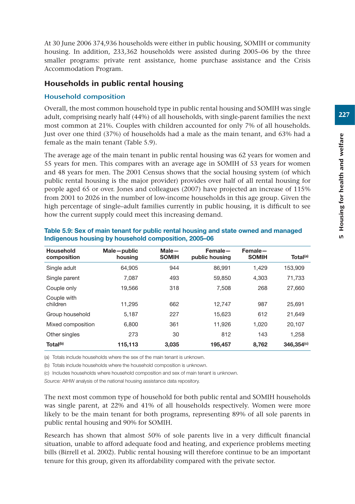At 30 June 2006 374,936 households were either in public housing, SOMIH or community housing. In addition, 233,362 households were assisted during 2005–06 by the three smaller programs: private rent assistance, home purchase assistance and the Crisis Accommodation Program.

## Households in public rental housing

## Household composition

Overall, the most common household type in public rental housing and SOMIH was single adult, comprising nearly half (44%) of all households, with single-parent families the next most common at 21%. Couples with children accounted for only 7% of all households. Just over one third (37%) of households had a male as the main tenant, and 63% had a female as the main tenant (Table 5.9).

The average age of the main tenant in public rental housing was 62 years for women and 55 years for men. This compares with an average age in SOMIH of 53 years for women and 48 years for men. The 2001 Census shows that the social housing system (of which public rental housing is the major provider) provides over half of all rental housing for people aged 65 or over. Jones and colleagues (2007) have projected an increase of 115% from 2001 to 2026 in the number of low-income households in this age group. Given the high percentage of single–adult families currently in public housing, it is difficult to see how the current supply could meet this increasing demand.

| <b>Household</b><br>composition | Male-public<br>housing | Male-<br><b>SOMIH</b> | Female-<br>public housing | Female-<br><b>SOMIH</b> | Total <sup>(a)</sup>   |
|---------------------------------|------------------------|-----------------------|---------------------------|-------------------------|------------------------|
| Single adult                    | 64.905                 | 944                   | 86.991                    | 1.429                   | 153,909                |
| Single parent                   | 7.087                  | 493                   | 59,850                    | 4.303                   | 71.733                 |
| Couple only                     | 19,566                 | 318                   | 7.508                     | 268                     | 27,660                 |
| Couple with<br>children         | 11.295                 | 662                   | 12,747                    | 987                     | 25.691                 |
| Group household                 | 5.187                  | 227                   | 15.623                    | 612                     | 21.649                 |
| Mixed composition               | 6.800                  | 361                   | 11,926                    | 1.020                   | 20,107                 |
| Other singles                   | 273                    | 30                    | 812                       | 143                     | 1.258                  |
| Total <sup>(b)</sup>            | 115,113                | 3.035                 | 195.457                   | 8,762                   | 346,354 <sup>(c)</sup> |

| Table 5.9: Sex of main tenant for public rental housing and state owned and managed |
|-------------------------------------------------------------------------------------|
| Indigenous housing by household composition, 2005–06                                |

(a) Totals include households where the sex of the main tenant is unknown.

(b) Totals include households where the household composition is unknown.

(c) Includes households where household composition and sex of main tenant is unknown.

*Source:* AIHW analysis of the national housing assistance data repository.

The next most common type of household for both public rental and SOMIH households was single parent, at 22% and 41% of all households respectively. Women were more likely to be the main tenant for both programs, representing 89% of all sole parents in public rental housing and 90% for SOMIH.

Research has shown that almost 50% of sole parents live in a very difficult financial situation, unable to afford adequate food and heating, and experience problems meeting bills (Birrell et al. 2002). Public rental housing will therefore continue to be an important tenure for this group, given its affordability compared with the private sector.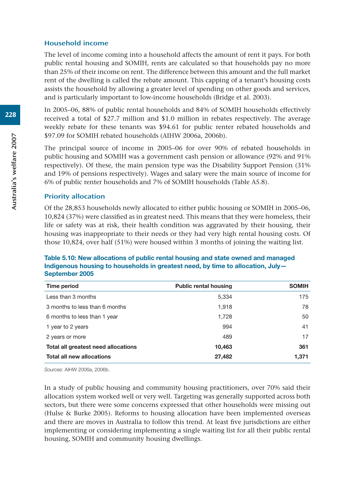#### Household income

The level of income coming into a household affects the amount of rent it pays. For both public rental housing and SOMIH, rents are calculated so that households pay no more than 25% of their income on rent. The difference between this amount and the full market rent of the dwelling is called the rebate amount. This capping of a tenant's housing costs assists the household by allowing a greater level of spending on other goods and services, and is particularly important to low-income households (Bridge et al. 2003).

In 2005–06, 88% of public rental households and 84% of SOMIH households effectively received a total of \$27.7 million and \$1.0 million in rebates respectively. The average weekly rebate for these tenants was \$94.61 for public renter rebated households and \$97.09 for SOMIH rebated households (AIHW 2006a, 2006b).

The principal source of income in 2005–06 for over 90% of rebated households in public housing and SOMIH was a government cash pension or allowance (92% and 91% respectively). Of these, the main pension type was the Disability Support Pension (31% and 19% of pensions respectively). Wages and salary were the main source of income for 6% of public renter households and 7% of SOMIH households (Table A5.8).

#### Priority allocation

Of the 28,853 households newly allocated to either public housing or SOMIH in 2005–06, 10,824 (37%) were classified as in greatest need. This means that they were homeless, their life or safety was at risk, their health condition was aggravated by their housing, their housing was inappropriate to their needs or they had very high rental housing costs. Of those 10,824, over half (51%) were housed within 3 months of joining the waiting list.

#### **Table 5.10: New allocations of public rental housing and state owned and managed Indigenous housing to households in greatest need, by time to allocation, July— September 2005**

| Time period                         | <b>Public rental housing</b> | <b>SOMIH</b> |
|-------------------------------------|------------------------------|--------------|
| Less than 3 months                  | 5.334                        | 175          |
| 3 months to less than 6 months      | 1.918                        | 78           |
| 6 months to less than 1 year        | 1,728                        | 50           |
| 1 year to 2 years                   | 994                          | 41           |
| 2 years or more                     | 489                          | 17           |
| Total all greatest need allocations | 10,463                       | 361          |
| <b>Total all new allocations</b>    | 27,482                       | 1,371        |

*Sources:* AIHW 2006a, 2006b.

In a study of public housing and community housing practitioners, over 70% said their allocation system worked well or very well. Targeting was generally supported across both sectors, but there were some concerns expressed that other households were missing out (Hulse & Burke 2005). Reforms to housing allocation have been implemented overseas and there are moves in Australia to follow this trend. At least five jurisdictions are either implementing or considering implementing a single waiting list for all their public rental housing, SOMIH and community housing dwellings.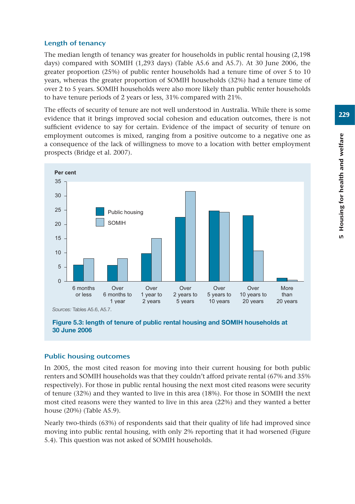#### Length of tenancy

The median length of tenancy was greater for households in public rental housing (2,198 days) compared with SOMIH (1,293 days) (Table A5.6 and A5.7). At 30 June 2006, the greater proportion (25%) of public renter households had a tenure time of over 5 to 10 years, whereas the greater proportion of SOMIH households (32%) had a tenure time of over 2 to 5 years. SOMIH households were also more likely than public renter households to have tenure periods of 2 years or less, 31% compared with 21%.

The effects of security of tenure are not well understood in Australia. While there is some evidence that it brings improved social cohesion and education outcomes, there is not sufficient evidence to say for certain. Evidence of the impact of security of tenure on employment outcomes is mixed, ranging from a positive outcome to a negative one as a consequence of the lack of willingness to move to a location with better employment prospects (Bridge et al. 2007).



**Figure 5.3: length of tenure of public rental housing and SOMIH households at 30 June 2006**

#### Public housing outcomes

In 2005, the most cited reason for moving into their current housing for both public renters and SOMIH households was that they couldn't afford private rental (67% and 35% respectively). For those in public rental housing the next most cited reasons were security of tenure (32%) and they wanted to live in this area (18%). For those in SOMIH the next most cited reasons were they wanted to live in this area (22%) and they wanted a better house (20%) (Table A5.9).

Nearly two-thirds (63%) of respondents said that their quality of life had improved since moving into public rental housing, with only 2% reporting that it had worsened (Figure 5.4). This question was not asked of SOMIH households.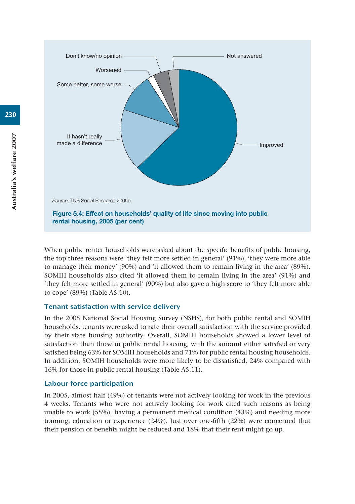

When public renter households were asked about the specific benefits of public housing, the top three reasons were 'they felt more settled in general' (91%), 'they were more able to manage their money' (90%) and 'it allowed them to remain living in the area' (89%). SOMIH households also cited 'it allowed them to remain living in the area' (91%) and 'they felt more settled in general' (90%) but also gave a high score to 'they felt more able to cope' (89%) (Table A5.10).

#### Tenant satisfaction with service delivery

In the 2005 National Social Housing Survey (NSHS), for both public rental and SOMIH households, tenants were asked to rate their overall satisfaction with the service provided by their state housing authority. Overall, SOMIH households showed a lower level of satisfaction than those in public rental housing, with the amount either satisfied or very satisfied being 63% for SOMIH households and 71% for public rental housing households. In addition, SOMIH households were more likely to be dissatisfied, 24% compared with 16% for those in public rental housing (Table A5.11).

#### Labour force participation

In 2005, almost half (49%) of tenants were not actively looking for work in the previous 4 weeks. Tenants who were not actively looking for work cited such reasons as being unable to work (55%), having a permanent medical condition (43%) and needing more training, education or experience (24%). Just over one-fifth (22%) were concerned that their pension or benefits might be reduced and 18% that their rent might go up.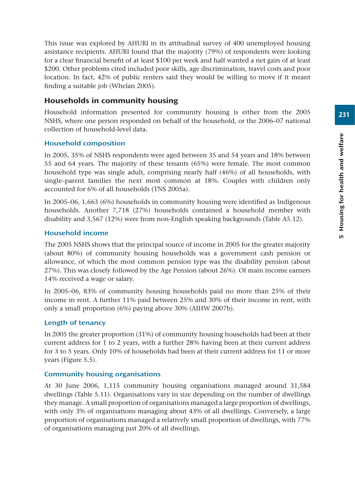This issue was explored by AHURI in its attitudinal survey of 400 unemployed housing assistance recipients. AHURI found that the majority (79%) of respondents were looking for a clear financial benefit of at least \$100 per week and half wanted a net gain of at least \$200. Other problems cited included poor skills, age discrimination, travel costs and poor location. In fact, 42% of public renters said they would be willing to move if it meant finding a suitable job (Whelan 2005).

## Households in community housing

Household information presented for community housing is either from the 2005 NSHS, where one person responded on behalf of the household, or the 2006–07 national collection of household-level data.

#### Household composition

In 2005, 35% of NSHS respondents were aged between 35 and 54 years and 18% between 55 and 64 years. The majority of these tenants (65%) were female. The most common household type was single adult, comprising nearly half (46%) of all households, with single–parent families the next most common at 18%. Couples with children only accounted for 6% of all households (TNS 2005a).

In 2005–06, 1,663 (6%) households in community housing were identified as Indigenous households. Another 7,718 (27%) households contained a household member with disability and 3,567 (12%) were from non-English speaking backgrounds (Table A5.12).

#### Household income

The 2005 NSHS shows that the principal source of income in 2005 for the greater majority (about 80%) of community housing households was a government cash pension or allowance, of which the most common pension type was the disability pension (about 27%). This was closely followed by the Age Pension (about 26%). Of main income earners 14% received a wage or salary.

In 2005–06, 83% of community housing households paid no more than 25% of their income in rent. A further 11% paid between 25% and 30% of their income in rent, with only a small proportion (6%) paying above 30% (AIHW 2007b).

#### Length of tenancy

In 2005 the greater proportion (31%) of community housing households had been at their current address for 1 to 2 years, with a further 28% having been at their current address for 3 to 5 years. Only 10% of households had been at their current address for 11 or more years (Figure 5.5).

#### Community housing organisations

At 30 June 2006, 1,115 community housing organisations managed around 31,584 dwellings (Table 5.11). Organisations vary in size depending on the number of dwellings they manage. A small proportion of organisations managed a large proportion of dwellings, with only 3% of organisations managing about 43% of all dwellings. Conversely, a large proportion of organisations managed a relatively small proportion of dwellings, with 77% of organisations managing just 20% of all dwellings.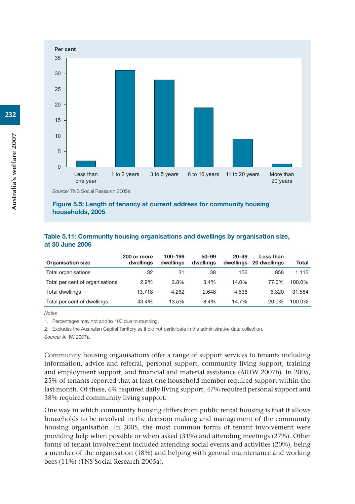

**households, 2005**

#### **Table 5.11: Community housing organisations and dwellings by organisation size, at 30 June 2006**

| <b>Organisation size</b>        | 200 or more<br>dwellings | 100-199<br>dwellings | $50 - 99$<br>dwellings | $20 - 49$<br>dwellings | Less than<br>20 dwellings | Total  |
|---------------------------------|--------------------------|----------------------|------------------------|------------------------|---------------------------|--------|
| Total organisations             | 32                       | 31                   | 38                     | 156                    | 858                       | 1.115  |
| Total per cent of organisations | 2.9%                     | 2.8%                 | 3.4%                   | 14.0%                  | 77.0%                     | 100.0% |
| <b>Total dwellings</b>          | 13.718                   | 4.262                | 2.648                  | 4.636                  | 6.320                     | 31.584 |
| Total per cent of dwellings     | 43.4%                    | 13.5%                | 8.4%                   | 14.7%                  | 20.0%                     | 100.0% |

*Notes*

1. Percentages may not add to 100 due to rounding.

2. Excludes the Australian Capital Territory as it did not participate in the administrative data collection.

*Source:* AIHW 2007a.

Community housing organisations offer a range of support services to tenants including information, advice and referral, personal support, community living support, training and employment support, and financial and material assistance (AIHW 2007b). In 2005, 25% of tenants reported that at least one household member required support within the last month. Of these, 6% required daily living support, 47% required personal support and 38% required community living support.

One way in which community housing differs from public rental housing is that it allows households to be involved in the decision making and management of the community housing organisation. In 2005, the most common forms of tenant involvement were providing help when possible or when asked (31%) and attending meetings (27%). Other forms of tenant involvement included attending social events and activities (20%), being a member of the organisation (18%) and helping with general maintenance and working bees (11%) (TNS Social Research 2005a).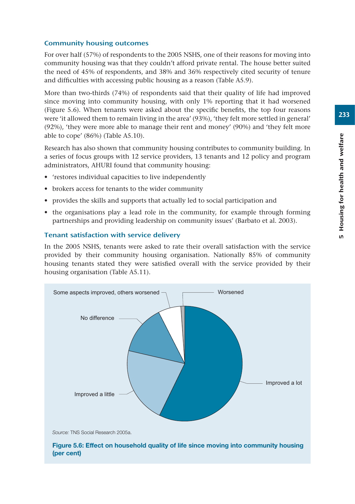## Community housing outcomes

For over half (57%) of respondents to the 2005 NSHS, one of their reasons for moving into community housing was that they couldn't afford private rental. The house better suited the need of 45% of respondents, and 38% and 36% respectively cited security of tenure and difficulties with accessing public housing as a reason (Table A5.9).

More than two-thirds (74%) of respondents said that their quality of life had improved since moving into community housing, with only 1% reporting that it had worsened (Figure 5.6). When tenants were asked about the specific benefits, the top four reasons were 'it allowed them to remain living in the area' (93%), 'they felt more settled in general' (92%), 'they were more able to manage their rent and money' (90%) and 'they felt more able to cope' (86%) (Table A5.10).

Research has also shown that community housing contributes to community building. In a series of focus groups with 12 service providers, 13 tenants and 12 policy and program administrators, AHURI found that community housing:

- 'restores individual capacities to live independently
- brokers access for tenants to the wider community
- provides the skills and supports that actually led to social participation and
- the organisations play a lead role in the community, for example through forming partnerships and providing leadership on community issues' (Barbato et al. 2003).

#### Tenant satisfaction with service delivery

In the 2005 NSHS, tenants were asked to rate their overall satisfaction with the service provided by their community housing organisation. Nationally 85% of community housing tenants stated they were satisfied overall with the service provided by their housing organisation (Table A5.11).



**Figure 5.6: Effect on household quality of life since moving into community housing (per cent)**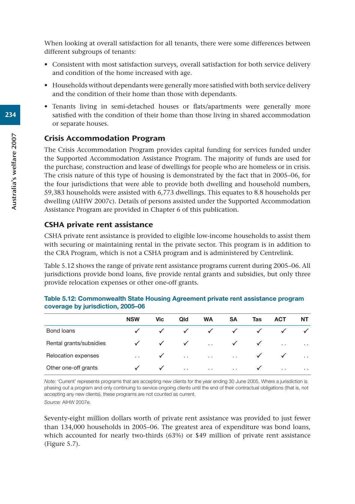When looking at overall satisfaction for all tenants, there were some differences between different subgroups of tenants:

- Consistent with most satisfaction surveys, overall satisfaction for both service delivery and condition of the home increased with age.
- Households without dependants were generally more satisfied with both service delivery and the condition of their home than those with dependants.
- Tenants living in semi-detached houses or flats/apartments were generally more satisfied with the condition of their home than those living in shared accommodation or separate houses.

## Crisis Accommodation Program

The Crisis Accommodation Program provides capital funding for services funded under the Supported Accommodation Assistance Program. The majority of funds are used for the purchase, construction and lease of dwellings for people who are homeless or in crisis. The crisis nature of this type of housing is demonstrated by the fact that in 2005–06, for the four jurisdictions that were able to provide both dwelling and household numbers, 59,383 households were assisted with 6,773 dwellings. This equates to 8.8 households per dwelling (AIHW 2007c). Details of persons assisted under the Supported Accommodation Assistance Program are provided in Chapter 6 of this publication.

## CSHA private rent assistance

CSHA private rent assistance is provided to eligible low-income households to assist them with securing or maintaining rental in the private sector. This program is in addition to the CRA Program, which is not a CSHA program and is administered by Centrelink.

Table 5.12 shows the range of private rent assistance programs current during 2005–06. All jurisdictions provide bond loans, five provide rental grants and subsidies, but only three provide relocation expenses or other one-off grants.

|                         | <b>NSW</b>           | Vic          | Qld            | <b>WA</b>  | <b>SA</b>     | Tas          | <b>ACT</b>           | NΤ                   |
|-------------------------|----------------------|--------------|----------------|------------|---------------|--------------|----------------------|----------------------|
| Bond loans              | $\checkmark$         | ✔            | $\checkmark$   | $\sqrt{2}$ | $\sqrt{ }$    | $\checkmark$ | $\checkmark$         |                      |
| Rental grants/subsidies | $\checkmark$         | $\sqrt{2}$   | $\sqrt{2}$     | $\sim$     | $\sqrt{ }$    | $\checkmark$ | $\ddot{\phantom{0}}$ | $\ddotsc$            |
| Relocation expenses     | $\ddot{\phantom{0}}$ | $\checkmark$ | $\sim 10^{-1}$ | $\sim 10$  | $\sim$ $\sim$ | $\checkmark$ | $\sqrt{2}$           | $\ddot{\phantom{a}}$ |
| Other one-off grants    |                      | v            | $\sim$ $\sim$  | $\ddotsc$  | $\ddotsc$     | $\checkmark$ | $\cdot$ .            | $\ddotsc$            |

| Table 5.12: Commonwealth State Housing Agreement private rent assistance program |
|----------------------------------------------------------------------------------|
| coverage by jurisdiction, 2005–06                                                |

*Note:* 'Current' represents programs that are accepting new clients for the year ending 30 June 2005. Where a jurisdiction is phasing out a program and only continuing to service ongoing clients until the end of their contractual obligations (that is, not accepting any new clients), these programs are not counted as current.

*Source:* AIHW 2007e.

Seventy-eight million dollars worth of private rent assistance was provided to just fewer than 134,000 households in 2005–06. The greatest area of expenditure was bond loans, which accounted for nearly two-thirds (63%) or \$49 million of private rent assistance (Figure 5.7).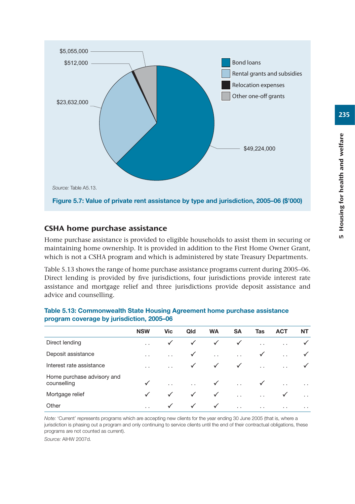

## CSHA home purchase assistance

Home purchase assistance is provided to eligible households to assist them in securing or maintaining home ownership. It is provided in addition to the First Home Owner Grant, which is not a CSHA program and which is administered by state Treasury Departments.

Table 5.13 shows the range of home purchase assistance programs current during 2005–06. Direct lending is provided by five jurisdictions, four jurisdictions provide interest rate assistance and mortgage relief and three jurisdictions provide deposit assistance and advice and counselling.

|                                           | <b>NSW</b>      | <b>Vic</b>           | Qld                  | <b>WA</b>            | <b>SA</b>            | Tas                  | <b>ACT</b>           | NΤ        |
|-------------------------------------------|-----------------|----------------------|----------------------|----------------------|----------------------|----------------------|----------------------|-----------|
| Direct lending                            | $\sim$          | ✓                    | $\checkmark$         | $\checkmark$         | $\checkmark$         | $\ddot{\phantom{a}}$ | $\ddot{\phantom{0}}$ |           |
| Deposit assistance                        | $\cdot$ $\cdot$ | $\ddot{\phantom{0}}$ | ✓                    | $\ddot{\phantom{0}}$ | $\ddot{\phantom{0}}$ | v                    | $\ddot{\phantom{a}}$ |           |
| Interest rate assistance                  | $\cdot$ .       | $\ddot{\phantom{0}}$ | ✓                    | $\checkmark$         | $\checkmark$         | $\ddot{\phantom{a}}$ | $\ddotsc$            |           |
| Home purchase advisory and<br>counselling | $\checkmark$    | $\ddot{\phantom{a}}$ | $\ddot{\phantom{a}}$ | $\checkmark$         | $\ddot{\phantom{0}}$ | $\checkmark$         | $\ddot{\phantom{a}}$ | $\cdot$ . |
| Mortgage relief                           | ✓               | $\checkmark$         | ✓                    | $\checkmark$         | $\ddot{\phantom{a}}$ | $\ddot{\phantom{a}}$ | ✓                    | $\cdot$ . |
| Other                                     | $\cdot$ .       | ✓                    | ✓                    | $\checkmark$         | $\ddot{\phantom{0}}$ | $\ddotsc$            | $\sim$               | $\cdot$ . |

#### **Table 5.13: Commonwealth State Housing Agreement home purchase assistance program coverage by jurisdiction, 2005–06**

*Note:* 'Current' represents programs which are accepting new clients for the year ending 30 June 2005 (that is, where a jurisdiction is phasing out a program and only continuing to service clients until the end of their contractual obligations, these programs are not counted as current).

*Source:* AIHW 2007d.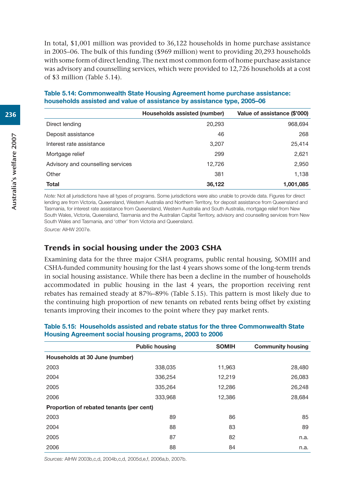In total, \$1,001 million was provided to 36,122 households in home purchase assistance in 2005–06. The bulk of this funding (\$969 million) went to providing 20,293 households with some form of direct lending. The next most common form of home purchase assistance was advisory and counselling services, which were provided to 12,726 households at a cost of \$3 million (Table 5.14).

#### **Table 5.14: Commonwealth State Housing Agreement home purchase assistance: households assisted and value of assistance by assistance type, 2005–06**

|                                   | Households assisted (number) | Value of assistance (\$'000) |
|-----------------------------------|------------------------------|------------------------------|
| Direct lending                    | 20,293                       | 968,694                      |
| Deposit assistance                | 46                           | 268                          |
| Interest rate assistance          | 3,207                        | 25,414                       |
| Mortgage relief                   | 299                          | 2,621                        |
| Advisory and counselling services | 12,726                       | 2,950                        |
| Other                             | 381                          | 1,138                        |
| <b>Total</b>                      | 36,122                       | 1,001,085                    |

*Note:* Not all jurisdictions have all types of programs. Some jurisdictions were also unable to provide data. Figures for direct lending are from Victoria, Queensland, Western Australia and Northern Territory, for deposit assistance from Queensland and Tasmania, for interest rate assistance from Queensland, Western Australia and South Australia, mortgage relief from New South Wales, Victoria, Queensland, Tasmania and the Australian Capital Territory, advisory and counselling services from New South Wales and Tasmania, and 'other' from Victoria and Queensland.

*Source:* AIHW 2007e.

## Trends in social housing under the 2003 CSHA

Examining data for the three major CSHA programs, public rental housing, SOMIH and CSHA-funded community housing for the last 4 years shows some of the long-term trends in social housing assistance. While there has been a decline in the number of households accommodated in public housing in the last 4 years, the proportion receiving rent rebates has remained steady at 87%–89% (Table 5.15). This pattern is most likely due to the continuing high proportion of new tenants on rebated rents being offset by existing tenants improving their incomes to the point where they pay market rents.

#### **Table 5.15: Households assisted and rebate status for the three Commonwealth State Housing Agreement social housing programs, 2003 to 2006**

|                                          | <b>Public housing</b> | <b>SOMIH</b> | <b>Community housing</b> |
|------------------------------------------|-----------------------|--------------|--------------------------|
| Households at 30 June (number)           |                       |              |                          |
| 2003                                     | 338,035               | 11,963       | 28,480                   |
| 2004                                     | 336,254               | 12,219       | 26,083                   |
| 2005                                     | 335,264               | 12,286       | 26,248                   |
| 2006                                     | 333,968               | 12,386       | 28,684                   |
| Proportion of rebated tenants (per cent) |                       |              |                          |
| 2003                                     | 89                    | 86           | 85                       |
| 2004                                     | 88                    | 83           | 89                       |
| 2005                                     | 87                    | 82           | n.a.                     |
| 2006                                     | 88                    | 84           | n.a.                     |

*Sources:* AIHW 2003b,c,d, 2004b,c,d, 2005d,e,f, 2006a,b, 2007b.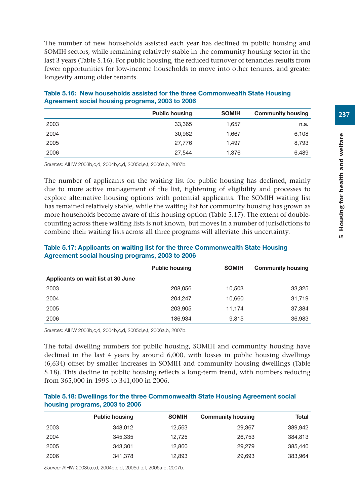The number of new households assisted each year has declined in public housing and SOMIH sectors, while remaining relatively stable in the community housing sector in the last 3 years (Table 5.16). For public housing, the reduced turnover of tenancies results from fewer opportunities for low-income households to move into other tenures, and greater longevity among older tenants.

|      | <b>Public housing</b> | <b>SOMIH</b> | <b>Community housing</b> |
|------|-----------------------|--------------|--------------------------|
| 2003 | 33.365                | 1,657        | n.a.                     |
| 2004 | 30.962                | 1,667        | 6,108                    |
| 2005 | 27.776                | 1.497        | 8,793                    |
| 2006 | 27.544                | 1,376        | 6.489                    |

| Table 5.16: New households assisted for the three Commonwealth State Housing |  |  |
|------------------------------------------------------------------------------|--|--|
| Agreement social housing programs, 2003 to 2006                              |  |  |

*Sources:* AIHW 2003b,c,d, 2004b,c,d, 2005d,e,f, 2006a,b, 2007b.

The number of applicants on the waiting list for public housing has declined, mainly due to more active management of the list, tightening of eligibility and processes to explore alternative housing options with potential applicants. The SOMIH waiting list has remained relatively stable, while the waiting list for community housing has grown as more households become aware of this housing option (Table 5.17). The extent of doublecounting across these waiting lists is not known, but moves in a number of jurisdictions to combine their waiting lists across all three programs will alleviate this uncertainty.

#### **Table 5.17: Applicants on waiting list for the three Commonwealth State Housing Agreement social housing programs, 2003 to 2006**

|                                    | <b>Public housing</b> | <b>SOMIH</b> | <b>Community housing</b> |
|------------------------------------|-----------------------|--------------|--------------------------|
| Applicants on wait list at 30 June |                       |              |                          |
| 2003                               | 208.056               | 10.503       | 33,325                   |
| 2004                               | 204.247               | 10.660       | 31,719                   |
| 2005                               | 203.905               | 11.174       | 37,384                   |
| 2006                               | 186,934               | 9.815        | 36,983                   |

*Sources:* AIHW 2003b,c,d, 2004b,c,d, 2005d,e,f, 2006a,b, 2007b.

The total dwelling numbers for public housing, SOMIH and community housing have declined in the last 4 years by around 6,000, with losses in public housing dwellings (6,634) offset by smaller increases in SOMIH and community housing dwellings (Table 5.18). This decline in public housing reflects a long-term trend, with numbers reducing from 365,000 in 1995 to 341,000 in 2006.

#### **Table 5.18: Dwellings for the three Commonwealth State Housing Agreement social housing programs, 2003 to 2006**

|      | <b>Public housing</b> | <b>SOMIH</b> | <b>Community housing</b> | Total   |
|------|-----------------------|--------------|--------------------------|---------|
| 2003 | 348,012               | 12,563       | 29.367                   | 389,942 |
| 2004 | 345.335               | 12.725       | 26.753                   | 384,813 |
| 2005 | 343.301               | 12,860       | 29,279                   | 385,440 |
| 2006 | 341,378               | 12,893       | 29.693                   | 383,964 |

*Source:* AIHW 2003b,c,d, 2004b,c,d, 2005d,e,f, 2006a,b, 2007b.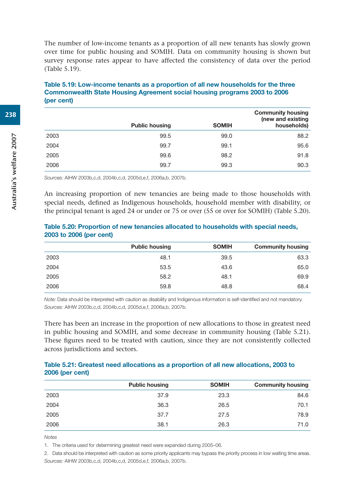The number of low-income tenants as a proportion of all new tenants has slowly grown over time for public housing and SOMIH. Data on community housing is shown but survey response rates appear to have affected the consistency of data over the period (Table 5.19).

|      | <b>Public housing</b> | <b>SOMIH</b> | <b>Community housing</b><br>(new and existing<br>households) |
|------|-----------------------|--------------|--------------------------------------------------------------|
| 2003 | 99.5                  | 99.0         | 88.2                                                         |
| 2004 | 99.7                  | 99.1         | 95.6                                                         |
| 2005 | 99.6                  | 98.2         | 91.8                                                         |
| 2006 | 99.7                  | 99.3         | 90.3                                                         |

#### **Table 5.19: Low-income tenants as a proportion of all new households for the three Commonwealth State Housing Agreement social housing programs 2003 to 2006 (per cent)**

*Sources:* AIHW 2003b,c,d, 2004b,c,d, 2005d,e,f, 2006a,b, 2007b.

An increasing proportion of new tenancies are being made to those households with special needs, defined as Indigenous households, household member with disability, or the principal tenant is aged 24 or under or 75 or over (55 or over for SOMIH) (Table 5.20).

#### **Table 5.20: Proportion of new tenancies allocated to households with special needs, 2003 to 2006 (per cent)**

|      | <b>Public housing</b> | <b>SOMIH</b> | <b>Community housing</b> |
|------|-----------------------|--------------|--------------------------|
| 2003 | 48.1                  | 39.5         | 63.3                     |
| 2004 | 53.5                  | 43.6         | 65.0                     |
| 2005 | 58.2                  | 48.1         | 69.9                     |
| 2006 | 59.8                  | 48.8         | 68.4                     |

*Note:* Data should be interpreted with caution as disability and Indigenous information is self-identified and not mandatory. *Sources:* AIHW 2003b,c,d, 2004b,c,d, 2005d,e,f, 2006a,b, 2007b.

There has been an increase in the proportion of new allocations to those in greatest need in public housing and SOMIH, and some decrease in community housing (Table 5.21). These figures need to be treated with caution, since they are not consistently collected across jurisdictions and sectors.

#### **Table 5.21: Greatest need allocations as a proportion of all new allocations, 2003 to 2006 (per cent)**

|      | <b>Public housing</b> | <b>SOMIH</b> | <b>Community housing</b> |
|------|-----------------------|--------------|--------------------------|
| 2003 | 37.9                  | 23.3         | 84.6                     |
| 2004 | 36.3                  | 26.5         | 70.1                     |
| 2005 | 37.7                  | 27.5         | 78.9                     |
| 2006 | 38.1                  | 26.3         | 71.0                     |

*Notes*

1. The criteria used for determining greatest need were expanded during 2005–06.

2. Data should be interpreted with caution as some priority applicants may bypass the priority process in low waiting time areas. *Sources:* AIHW 2003b,c,d, 2004b,c,d, 2005d,e,f, 2006a,b, 2007b.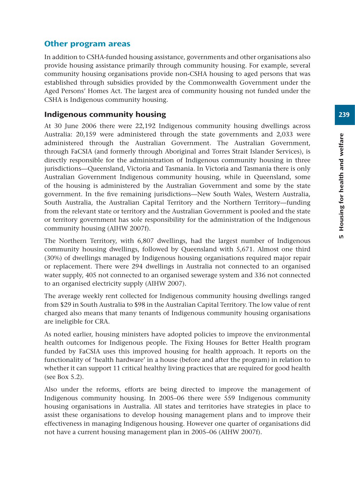## Other program areas

In addition to CSHA-funded housing assistance, governments and other organisations also provide housing assistance primarily through community housing. For example, several community housing organisations provide non-CSHA housing to aged persons that was established through subsidies provided by the Commonwealth Government under the Aged Persons' Homes Act. The largest area of community housing not funded under the CSHA is Indigenous community housing.

## Indigenous community housing

At 30 June 2006 there were 22,192 Indigenous community housing dwellings across Australia: 20,159 were administered through the state governments and 2,033 were administered through the Australian Government. The Australian Government, through FaCSIA (and formerly through Aboriginal and Torres Strait Islander Services), is directly responsible for the administration of Indigenous community housing in three jurisdictions—Queensland, Victoria and Tasmania. In Victoria and Tasmania there is only Australian Government Indigenous community housing, while in Queensland, some of the housing is administered by the Australian Government and some by the state government. In the five remaining jurisdictions—New South Wales, Western Australia, South Australia, the Australian Capital Territory and the Northern Territory—funding from the relevant state or territory and the Australian Government is pooled and the state or territory government has sole responsibility for the administration of the Indigenous community housing (AIHW 2007f).

The Northern Territory, with 6,807 dwellings, had the largest number of Indigenous community housing dwellings, followed by Queensland with 5,671. Almost one third (30%) of dwellings managed by Indigenous housing organisations required major repair or replacement. There were 294 dwellings in Australia not connected to an organised water supply, 405 not connected to an organised sewerage system and 336 not connected to an organised electricity supply (AIHW 2007).

The average weekly rent collected for Indigenous community housing dwellings ranged from \$29 in South Australia to \$98 in the Australian Capital Territory. The low value of rent charged also means that many tenants of Indigenous community housing organisations are ineligible for CRA.

As noted earlier, housing ministers have adopted policies to improve the environmental health outcomes for Indigenous people. The Fixing Houses for Better Health program funded by FaCSIA uses this improved housing for health approach. It reports on the functionality of 'health hardware' in a house (before and after the program) in relation to whether it can support 11 critical healthy living practices that are required for good health (see Box 5.2).

Also under the reforms, efforts are being directed to improve the management of Indigenous community housing. In 2005–06 there were 559 Indigenous community housing organisations in Australia. All states and territories have strategies in place to assist these organisations to develop housing management plans and to improve their effectiveness in managing Indigenous housing. However one quarter of organisations did not have a current housing management plan in 2005–06 (AIHW 2007f).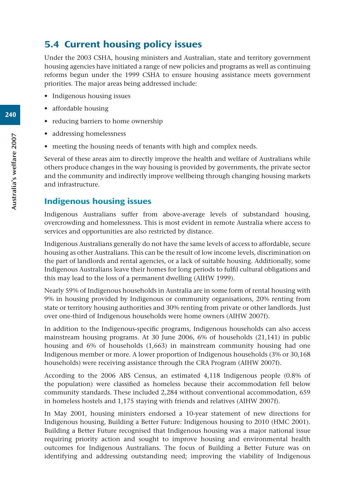# 5.4 Current housing policy issues

Under the 2003 CSHA, housing ministers and Australian, state and territory government housing agencies have initiated a range of new policies and programs as well as continuing reforms begun under the 1999 CSHA to ensure housing assistance meets government priorities. The major areas being addressed include:

- Indigenous housing issues
- affordable housing
- reducing barriers to home ownership
- addressing homelessness
- meeting the housing needs of tenants with high and complex needs.

Several of these areas aim to directly improve the health and welfare of Australians while others produce changes in the way housing is provided by governments, the private sector and the community and indirectly improve wellbeing through changing housing markets and infrastructure.

## Indigenous housing issues

Indigenous Australians suffer from above-average levels of substandard housing, overcrowding and homelessness. This is most evident in remote Australia where access to services and opportunities are also restricted by distance.

Indigenous Australians generally do not have the same levels of access to affordable, secure housing as other Australians. This can be the result of low income levels, discrimination on the part of landlords and rental agencies, or a lack of suitable housing. Additionally, some Indigenous Australians leave their homes for long periods to fulfil cultural obligations and this may lead to the loss of a permanent dwelling (AIHW 1999).

Nearly 59% of Indigenous households in Australia are in some form of rental housing with 9% in housing provided by Indigenous or community organisations, 20% renting from state or territory housing authorities and 30% renting from private or other landlords. Just over one-third of Indigenous households were home owners (AIHW 2007f).

In addition to the Indigenous-specific programs, Indigenous households can also access mainstream housing programs. At 30 June 2006, 6% of households (21,141) in public housing and 6% of households (1,663) in mainstream community housing had one Indigenous member or more. A lower proportion of Indigenous households (3% or 30,168 households) were receiving assistance through the CRA Program (AIHW 2007f).

According to the 2006 ABS Census, an estimated 4,118 Indigenous people (0.8% of the population) were classified as homeless because their accommodation fell below community standards. These included 2,284 without conventional accommodation, 659 in homeless hostels and 1,175 staying with friends and relatives (AIHW 2007f).

In May 2001, housing ministers endorsed a 10-year statement of new directions for Indigenous housing, Building a Better Future: Indigenous housing to 2010 (HMC 2001). Building a Better Future recognised that Indigenous housing was a major national issue requiring priority action and sought to improve housing and environmental health outcomes for Indigenous Australians. The focus of Building a Better Future was on identifying and addressing outstanding need; improving the viability of Indigenous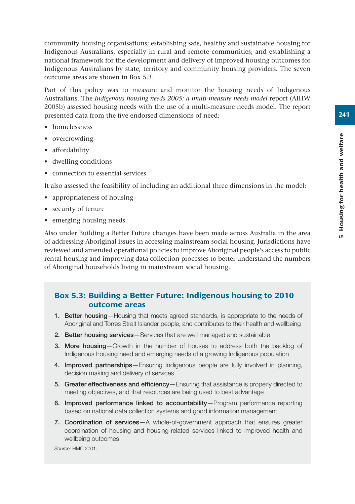community housing organisations; establishing safe, healthy and sustainable housing for Indigenous Australians, especially in rural and remote communities; and establishing a national framework for the development and delivery of improved housing outcomes for Indigenous Australians by state, territory and community housing providers. The seven outcome areas are shown in Box 5.3.

Part of this policy was to measure and monitor the housing needs of Indigenous Australians. The *Indigenous housing needs 2005: a multi-measure needs model* report (AIHW 2005b) assessed housing needs with the use of a multi-measure needs model. The report presented data from the five endorsed dimensions of need:

- homelessness
- overcrowding
- affordability
- dwelling conditions
- connection to essential services.

It also assessed the feasibility of including an additional three dimensions in the model:

- appropriateness of housing
- security of tenure
- emerging housing needs.

Also under Building a Better Future changes have been made across Australia in the area of addressing Aboriginal issues in accessing mainstream social housing. Jurisdictions have reviewed and amended operational policies to improve Aboriginal people's access to public rental housing and improving data collection processes to better understand the numbers of Aboriginal households living in mainstream social housing.

## Box 5.3: Building a Better Future: Indigenous housing to 2010 outcome areas

- **1. Better housing**—Housing that meets agreed standards, is appropriate to the needs of Aboriginal and Torres Strait Islander people, and contributes to their health and wellbeing
- **2. Better housing services**—Services that are well managed and sustainable
- **3. More housing**—Growth in the number of houses to address both the backlog of Indigenous housing need and emerging needs of a growing Indigenous population
- **4. Improved partnerships**—Ensuring Indigenous people are fully involved in planning, decision making and delivery of services
- **5. Greater effectiveness and efficiency**—Ensuring that assistance is properly directed to meeting objectives, and that resources are being used to best advantage
- **6. Improved performance linked to accountability**—Program performance reporting based on national data collection systems and good information management
- **7. Coordination of services**—A whole-of-government approach that ensures greater coordination of housing and housing-related services linked to improved health and wellbeing outcomes.

*Source:* HMC 2001.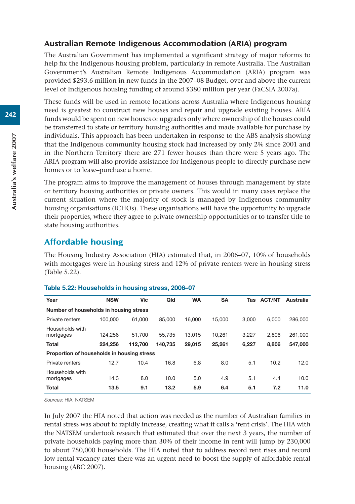## Australian Remote Indigenous Accommodation (ARIA) program

The Australian Government has implemented a significant strategy of major reforms to help fix the Indigenous housing problem, particularly in remote Australia. The Australian Government's Australian Remote Indigenous Accommodation (ARIA) program was provided \$293.6 million in new funds in the 2007–08 Budget, over and above the current level of Indigenous housing funding of around \$380 million per year (FaCSIA 2007a).

These funds will be used in remote locations across Australia where Indigenous housing need is greatest to construct new houses and repair and upgrade existing houses. ARIA funds would be spent on new houses or upgrades only where ownership of the houses could be transferred to state or territory housing authorities and made available for purchase by individuals. This approach has been undertaken in response to the ABS analysis showing that the Indigenous community housing stock had increased by only 2% since 2001 and in the Northern Territory there are 271 fewer houses than there were 5 years ago. The ARIA program will also provide assistance for Indigenous people to directly purchase new homes or to lease–purchase a home.

The program aims to improve the management of houses through management by state or territory housing authorities or private owners. This would in many cases replace the current situation where the majority of stock is managed by Indigenous community housing organisations (ICHOs). These organisations will have the opportunity to upgrade their properties, where they agree to private ownership opportunities or to transfer title to state housing authorities.

## Affordable housing

The Housing Industry Association (HIA) estimated that, in 2006–07, 10% of households with mortgages were in housing stress and 12% of private renters were in housing stress (Table 5.22).

| Year                                       | <b>NSW</b> | Vic     | Qld     | <b>WA</b> | <b>SA</b> | Tas   | <b>ACT/NT</b> | Australia |  |  |  |
|--------------------------------------------|------------|---------|---------|-----------|-----------|-------|---------------|-----------|--|--|--|
| Number of households in housing stress     |            |         |         |           |           |       |               |           |  |  |  |
| Private renters                            | 100.000    | 61.000  | 85,000  | 16.000    | 15.000    | 3.000 | 6.000         | 286,000   |  |  |  |
| Households with<br>mortgages               | 124.256    | 51.700  | 55.735  | 13.015    | 10.261    | 3.227 | 2.806         | 261,000   |  |  |  |
| <b>Total</b>                               | 224.256    | 112.700 | 140.735 | 29,015    | 25,261    | 6,227 | 8.806         | 547,000   |  |  |  |
| Proportion of households in housing stress |            |         |         |           |           |       |               |           |  |  |  |
| Private renters                            | 12.7       | 10.4    | 16.8    | 6.8       | 8.0       | 5.1   | 10.2          | 12.0      |  |  |  |
| Households with<br>mortgages               | 14.3       | 8.0     | 10.0    | 5.0       | 4.9       | 5.1   | 4.4           | 10.0      |  |  |  |
| <b>Total</b>                               | 13.5       | 9.1     | 13.2    | 5.9       | 6.4       | 5.1   | 7.2           | 11.0      |  |  |  |

#### **Table 5.22: Households in housing stress, 2006–07**

*Sources:* HIA, NATSEM

In July 2007 the HIA noted that action was needed as the number of Australian families in rental stress was about to rapidly increase, creating what it calls a 'rent crisis'. The HIA with the NATSEM undertook research that estimated that over the next 3 years, the number of private households paying more than 30% of their income in rent will jump by 230,000 to about 750,000 households. The HIA noted that to address record rent rises and record low rental vacancy rates there was an urgent need to boost the supply of affordable rental housing (ABC 2007).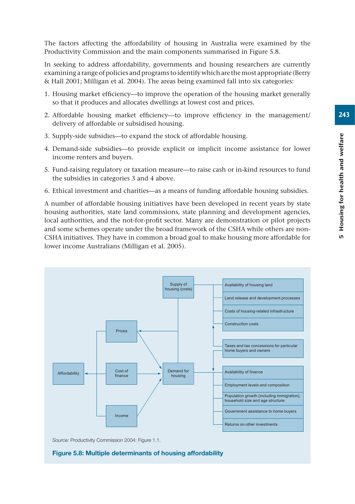The factors affecting the affordability of housing in Australia were examined by the Productivity Commission and the main components summarised in Figure 5.8.

In seeking to address affordability, governments and housing researchers are currently examining a range of policies and programs to identify which are the most appropriate (Berry & Hall 2001; Milligan et al. 2004). The areas being examined fall into six categories:

- 1. Housing market efficiency—to improve the operation of the housing market generally so that it produces and allocates dwellings at lowest cost and prices.
- 2. Affordable housing market efficiency—to improve efficiency in the management/ delivery of affordable or subsidised housing.
- 3. Supply-side subsidies—to expand the stock of affordable housing.
- 4. Demand-side subsidies—to provide explicit or implicit income assistance for lower income renters and buyers.
- 5. Fund-raising regulatory or taxation measure—to raise cash or in-kind resources to fund the subsidies in categories 3 and 4 above.
- 6. Ethical investment and charities—as a means of funding affordable housing subsidies.

A number of affordable housing initiatives have been developed in recent years by state housing authorities, state land commissions, state planning and development agencies, local authorities, and the not-for-profit sector. Many are demonstration or pilot projects and some schemes operate under the broad framework of the CSHA while others are non-CSHA initiatives. They have in common a broad goal to make housing more affordable for lower income Australians (Milligan et al. 2005).



**Figure 5.8: Multiple determinants of housing affordability**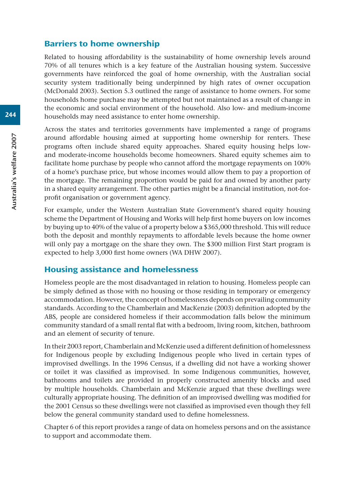#### Barriers to home ownership

Related to housing affordability is the sustainability of home ownership levels around 70% of all tenures which is a key feature of the Australian housing system. Successive governments have reinforced the goal of home ownership, with the Australian social security system traditionally being underpinned by high rates of owner occupation (McDonald 2003). Section 5.3 outlined the range of assistance to home owners. For some households home purchase may be attempted but not maintained as a result of change in the economic and social environment of the household. Also low- and medium-income households may need assistance to enter home ownership.

Across the states and territories governments have implemented a range of programs around affordable housing aimed at supporting home ownership for renters. These programs often include shared equity approaches. Shared equity housing helps lowand moderate-income households become homeowners. Shared equity schemes aim to facilitate home purchase by people who cannot afford the mortgage repayments on 100% of a home's purchase price, but whose incomes would allow them to pay a proportion of the mortgage. The remaining proportion would be paid for and owned by another party in a shared equity arrangement. The other parties might be a financial institution, not-forprofit organisation or government agency.

For example, under the Western Australian State Government's shared equity housing scheme the Department of Housing and Works will help first home buyers on low incomes by buying up to 40% of the value of a property below a \$365,000 threshold. This will reduce both the deposit and monthly repayments to affordable levels because the home owner will only pay a mortgage on the share they own. The \$300 million First Start program is expected to help 3,000 first home owners (WA DHW 2007).

## Housing assistance and homelessness

Homeless people are the most disadvantaged in relation to housing. Homeless people can be simply defined as those with no housing or those residing in temporary or emergency accommodation. However, the concept of homelessness depends on prevailing community standards. According to the Chamberlain and MacKenzie (2003) definition adopted by the ABS, people are considered homeless if their accommodation falls below the minimum community standard of a small rental flat with a bedroom, living room, kitchen, bathroom and an element of security of tenure.

In their 2003 report, Chamberlain and McKenzie used a different definition of homelessness for Indigenous people by excluding Indigenous people who lived in certain types of improvised dwellings. In the 1996 Census, if a dwelling did not have a working shower or toilet it was classified as improvised. In some Indigenous communities, however, bathrooms and toilets are provided in properly constructed amenity blocks and used by multiple households. Chamberlain and McKenzie argued that these dwellings were culturally appropriate housing. The definition of an improvised dwelling was modified for the 2001 Census so these dwellings were not classified as improvised even though they fell below the general community standard used to define homelessness.

Chapter 6 of this report provides a range of data on homeless persons and on the assistance to support and accommodate them.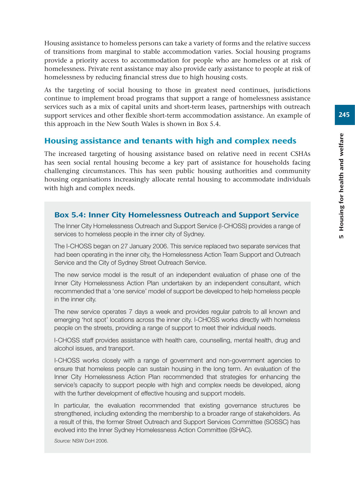245

Housing assistance to homeless persons can take a variety of forms and the relative success of transitions from marginal to stable accommodation varies. Social housing programs provide a priority access to accommodation for people who are homeless or at risk of homelessness. Private rent assistance may also provide early assistance to people at risk of homelessness by reducing financial stress due to high housing costs.

As the targeting of social housing to those in greatest need continues, jurisdictions continue to implement broad programs that support a range of homelessness assistance services such as a mix of capital units and short-term leases, partnerships with outreach support services and other flexible short-term accommodation assistance. An example of this approach in the New South Wales is shown in Box 5.4.

#### Housing assistance and tenants with high and complex needs

The increased targeting of housing assistance based on relative need in recent CSHAs has seen social rental housing become a key part of assistance for households facing challenging circumstances. This has seen public housing authorities and community housing organisations increasingly allocate rental housing to accommodate individuals with high and complex needs.

#### Box 5.4: Inner City Homelessness Outreach and Support Service

The Inner City Homelessness Outreach and Support Service (I-CHOSS) provides a range of services to homeless people in the inner city of Sydney.

The I-CHOSS began on 27 January 2006. This service replaced two separate services that had been operating in the inner city, the Homelessness Action Team Support and Outreach Service and the City of Sydney Street Outreach Service.

The new service model is the result of an independent evaluation of phase one of the Inner City Homelessness Action Plan undertaken by an independent consultant, which recommended that a 'one service' model of support be developed to help homeless people in the inner city.

The new service operates 7 days a week and provides regular patrols to all known and emerging 'hot spot' locations across the inner city. I-CHOSS works directly with homeless people on the streets, providing a range of support to meet their individual needs.

I-CHOSS staff provides assistance with health care, counselling, mental health, drug and alcohol issues, and transport.

I-CHOSS works closely with a range of government and non-government agencies to ensure that homeless people can sustain housing in the long term. An evaluation of the Inner City Homelessness Action Plan recommended that strategies for enhancing the service's capacity to support people with high and complex needs be developed, along with the further development of effective housing and support models.

In particular, the evaluation recommended that existing governance structures be strengthened, including extending the membership to a broader range of stakeholders. As a result of this, the former Street Outreach and Support Services Committee (SOSSC) has evolved into the Inner Sydney Homelessness Action Committee (ISHAC).

*Source:* NSW DoH 2006.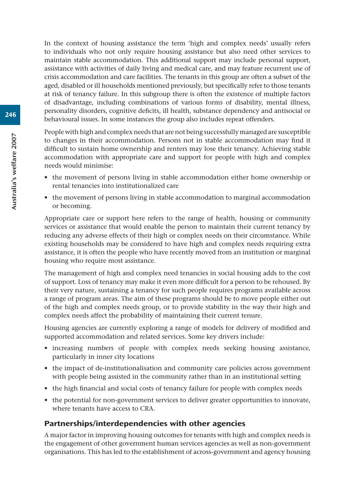In the context of housing assistance the term 'high and complex needs' usually refers to individuals who not only require housing assistance but also need other services to maintain stable accommodation. This additional support may include personal support, assistance with activities of daily living and medical care, and may feature recurrent use of crisis accommodation and care facilities. The tenants in this group are often a subset of the aged, disabled or ill households mentioned previously, but specifically refer to those tenants at risk of tenancy failure. In this subgroup there is often the existence of multiple factors of disadvantage, including combinations of various forms of disability, mental illness, personality disorders, cognitive deficits, ill health, substance dependency and antisocial or behavioural issues. In some instances the group also includes repeat offenders.

People with high and complex needs that are not being successfully managed are susceptible to changes in their accommodation. Persons not in stable accommodation may find it difficult to sustain home ownership and renters may lose their tenancy. Achieving stable accommodation with appropriate care and support for people with high and complex needs would minimise:

- the movement of persons living in stable accommodation either home ownership or rental tenancies into institutionalized care
- the movement of persons living in stable accommodation to marginal accommodation or becoming.

Appropriate care or support here refers to the range of health, housing or community services or assistance that would enable the person to maintain their current tenancy by reducing any adverse effects of their high or complex needs on their circumstance. While existing households may be considered to have high and complex needs requiring extra assistance, it is often the people who have recently moved from an institution or marginal housing who require most assistance.

The management of high and complex need tenancies in social housing adds to the cost of support. Loss of tenancy may make it even more difficult for a person to be rehoused. By their very nature, sustaining a tenancy for such people requires programs available across a range of program areas. The aim of these programs should be to move people either out of the high and complex needs group, or to provide stability in the way their high and complex needs affect the probability of maintaining their current tenure.

Housing agencies are currently exploring a range of models for delivery of modified and supported accommodation and related services. Some key drivers include:

- increasing numbers of people with complex needs seeking housing assistance, particularly in inner city locations
- the impact of de-institutionalisation and community care policies across government with people being assisted in the community rather than in an institutional setting
- the high financial and social costs of tenancy failure for people with complex needs
- the potential for non-government services to deliver greater opportunities to innovate, where tenants have access to CRA.

## Partnerships/interdependencies with other agencies

A major factor in improving housing outcomes for tenants with high and complex needs is the engagement of other government human services agencies as well as non-government organisations. This has led to the establishment of across-government and agency housing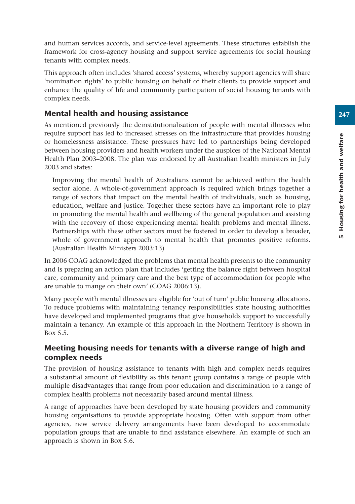and human services accords, and service-level agreements. These structures establish the framework for cross-agency housing and support service agreements for social housing tenants with complex needs.

This approach often includes 'shared access' systems, whereby support agencies will share 'nomination rights' to public housing on behalf of their clients to provide support and enhance the quality of life and community participation of social housing tenants with complex needs.

#### Mental health and housing assistance

As mentioned previously the deinstitutionalisation of people with mental illnesses who require support has led to increased stresses on the infrastructure that provides housing or homelessness assistance. These pressures have led to partnerships being developed between housing providers and health workers under the auspices of the National Mental Health Plan 2003–2008. The plan was endorsed by all Australian health ministers in July 2003 and states:

 Improving the mental health of Australians cannot be achieved within the health sector alone. A whole-of-government approach is required which brings together a range of sectors that impact on the mental health of individuals, such as housing, education, welfare and justice. Together these sectors have an important role to play in promoting the mental health and wellbeing of the general population and assisting with the recovery of those experiencing mental health problems and mental illness. Partnerships with these other sectors must be fostered in order to develop a broader, whole of government approach to mental health that promotes positive reforms. (Australian Health Ministers 2003:13)

In 2006 COAG acknowledged the problems that mental health presents to the community and is preparing an action plan that includes 'getting the balance right between hospital care, community and primary care and the best type of accommodation for people who are unable to mange on their own' (COAG 2006:13).

Many people with mental illnesses are eligible for 'out of turn' public housing allocations. To reduce problems with maintaining tenancy responsibilities state housing authorities have developed and implemented programs that give households support to successfully maintain a tenancy. An example of this approach in the Northern Territory is shown in Box 5.5.

## Meeting housing needs for tenants with a diverse range of high and complex needs

The provision of housing assistance to tenants with high and complex needs requires a substantial amount of flexibility as this tenant group contains a range of people with multiple disadvantages that range from poor education and discrimination to a range of complex health problems not necessarily based around mental illness.

A range of approaches have been developed by state housing providers and community housing organisations to provide appropriate housing. Often with support from other agencies, new service delivery arrangements have been developed to accommodate population groups that are unable to find assistance elsewhere. An example of such an approach is shown in Box 5.6.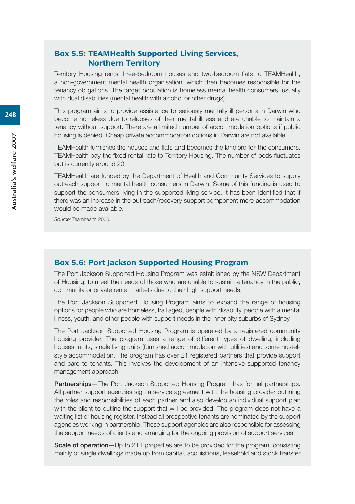#### Box 5.5: TEAMHealth Supported Living Services, Northern Territory

Territory Housing rents three-bedroom houses and two-bedroom flats to TEAMHealth, a non-government mental health organisation, which then becomes responsible for the tenancy obligations. The target population is homeless mental health consumers, usually with dual disabilities (mental health with alcohol or other drugs).

This program aims to provide assistance to seriously mentally ill persons in Darwin who become homeless due to relapses of their mental illness and are unable to maintain a tenancy without support. There are a limited number of accommodation options if public housing is denied. Cheap private accommodation options in Darwin are not available.

TEAMHealth furnishes the houses and flats and becomes the landlord for the consumers. TEAMHealth pay the fixed rental rate to Territory Housing. The number of beds fluctuates but is currently around 20.

TEAMHealth are funded by the Department of Health and Community Services to supply outreach support to mental health consumers in Darwin. Some of this funding is used to support the consumers living in the supported living service. It has been identified that if there was an increase in the outreach/recovery support component more accommodation would be made available.

*Source:* Teamhealth 2006.

#### Box 5.6: Port Jackson Supported Housing Program

The Port Jackson Supported Housing Program was established by the NSW Department of Housing, to meet the needs of those who are unable to sustain a tenancy in the public, community or private rental markets due to their high support needs.

The Port Jackson Supported Housing Program aims to expand the range of housing options for people who are homeless, frail aged, people with disability, people with a mental illness, youth, and other people with support needs in the inner city suburbs of Sydney.

The Port Jackson Supported Housing Program is operated by a registered community housing provider. The program uses a range of different types of dwelling, including houses, units, single living units (furnished accommodation with utilities) and some hostelstyle accommodation. The program has over 21 registered partners that provide support and care to tenants. This involves the development of an intensive supported tenancy management approach.

**Partnerships**—The Port Jackson Supported Housing Program has formal partnerships. All partner support agencies sign a service agreement with the housing provider outlining the roles and responsibilities of each partner and also develop an individual support plan with the client to outline the support that will be provided. The program does not have a waiting list or housing register. Instead all prospective tenants are nominated by the support agencies working in partnership. These support agencies are also responsible for assessing the support needs of clients and arranging for the ongoing provision of support services.

**Scale of operation**—Up to 211 properties are to be provided for the program, consisting mainly of single dwellings made up from capital, acquisitions, leasehold and stock transfer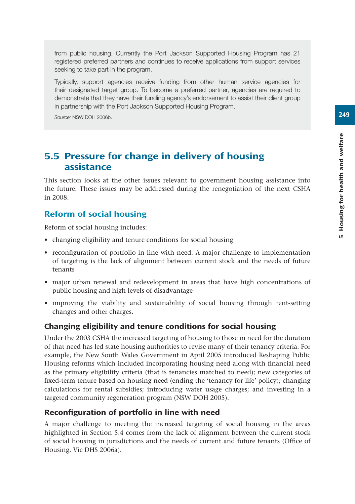from public housing. Currently the Port Jackson Supported Housing Program has 21 registered preferred partners and continues to receive applications from support services seeking to take part in the program.

Typically, support agencies receive funding from other human service agencies for their designated target group. To become a preferred partner, agencies are required to demonstrate that they have their funding agency's endorsement to assist their client group in partnership with the Port Jackson Supported Housing Program.

*Source:* NSW DOH 2006b.

# 5.5 Pressure for change in delivery of housing assistance

This section looks at the other issues relevant to government housing assistance into the future. These issues may be addressed during the renegotiation of the next CSHA in 2008.

# Reform of social housing

Reform of social housing includes:

- changing eligibility and tenure conditions for social housing
- reconfiguration of portfolio in line with need. A major challenge to implementation of targeting is the lack of alignment between current stock and the needs of future tenants
- major urban renewal and redevelopment in areas that have high concentrations of public housing and high levels of disadvantage
- improving the viability and sustainability of social housing through rent-setting changes and other charges.

## Changing eligibility and tenure conditions for social housing

Under the 2003 CSHA the increased targeting of housing to those in need for the duration of that need has led state housing authorities to revise many of their tenancy criteria. For example, the New South Wales Government in April 2005 introduced Reshaping Public Housing reforms which included incorporating housing need along with financial need as the primary eligibility criteria (that is tenancies matched to need); new categories of fixed-term tenure based on housing need (ending the 'tenancy for life' policy); changing calculations for rental subsidies; introducing water usage charges; and investing in a targeted community regeneration program (NSW DOH 2005).

## Reconfiguration of portfolio in line with need

A major challenge to meeting the increased targeting of social housing in the areas highlighted in Section 5.4 comes from the lack of alignment between the current stock of social housing in jurisdictions and the needs of current and future tenants (Office of Housing, Vic DHS 2006a).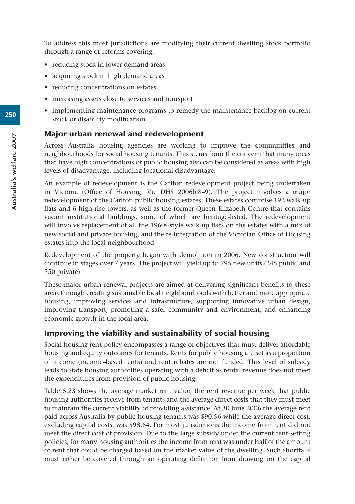To address this most jurisdictions are modifying their current dwelling stock portfolio through a range of reforms covering:

- reducing stock in lower demand areas
- acquiring stock in high demand areas
- reducing concentrations on estates
- increasing assets close to services and transport
- implementing maintenance programs to remedy the maintenance backlog on current stock or disability modification.

#### Major urban renewal and redevelopment

Across Australia housing agencies are working to improve the communities and neighbourhoods for social housing tenants. This stems from the concern that many areas that have high concentrations of public housing also can be considered as areas with high levels of disadvantage, including locational disadvantage.

An example of redevelopment is the Carlton redevelopment project being undertaken in Victoria (Office of Housing, Vic DHS 2006b:8–9). The project involves a major redevelopment of the Carlton public housing estates. These estates comprise 192 walk-up flats and 6 high-rise towers, as well as the former Queen Elizabeth Centre that contains vacant institutional buildings, some of which are heritage-listed. The redevelopment will involve replacement of all the 1960s-style walk-up flats on the estates with a mix of new social and private housing, and the re-integration of the Victorian Office of Housing estates into the local neighbourhood.

Redevelopment of the property began with demolition in 2006. New construction will continue in stages over 7 years. The project will yield up to 795 new units (245 public and 550 private).

These major urban renewal projects are aimed at delivering significant benefits to these areas through creating sustainable local neighbourhoods with better and more appropriate housing, improving services and infrastructure, supporting innovative urban design, improving transport, promoting a safer community and environment, and enhancing economic growth in the local area.

#### Improving the viability and sustainability of social housing

Social housing rent policy encompasses a range of objectives that must deliver affordable housing and equity outcomes for tenants. Rents for public housing are set as a proportion of income (income–based rents) and rent rebates are not funded. This level of subsidy leads to state housing authorities operating with a deficit as rental revenue does not meet the expenditures from provision of public housing.

Table 5.23 shows the average market rent value, the rent revenue per week that public housing authorities receive from tenants and the average direct costs that they must meet to maintain the current viability of providing assistance. At 30 June 2006 the average rent paid across Australia by public housing tenants was \$90.56 while the average direct cost, excluding capital costs, was \$98.64. For most jurisdictions the income from rent did not meet the direct cost of provision. Due to the large subsidy under the current rent-setting policies, for many housing authorities the income from rent was under half of the amount of rent that could be charged based on the market value of the dwelling. Such shortfalls must either be covered through an operating deficit or from drawing on the capital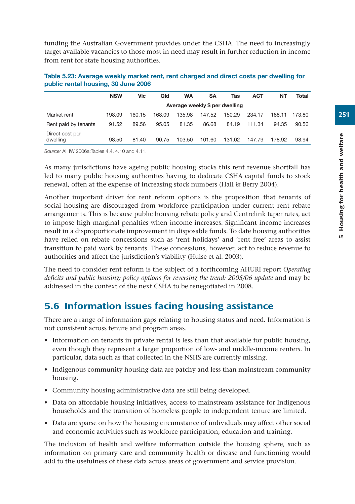funding the Australian Government provides under the CSHA. The need to increasingly target available vacancies to those most in need may result in further reduction in income from rent for state housing authorities.

|                             | <b>NSW</b>                     | Vic    | Qld    | <b>WA</b> | SΑ     | Tas    | <b>ACT</b> | NΤ     | Total  |  |  |
|-----------------------------|--------------------------------|--------|--------|-----------|--------|--------|------------|--------|--------|--|--|
|                             | Average weekly \$ per dwelling |        |        |           |        |        |            |        |        |  |  |
| Market rent                 | 198.09                         | 160.15 | 168.09 | 135.98    | 147.52 | 150.29 | 234.17     | 188.11 | 173.80 |  |  |
| Rent paid by tenants        | 91.52                          | 89.56  | 95.05  | 81.35     | 86.68  | 84.19  | 111.34     | 94.35  | 90.56  |  |  |
| Direct cost per<br>dwelling | 98.50                          | 81.40  | 90.75  | 103.50    | 101.60 | 131.02 | 147.79     | 178.92 | 98.94  |  |  |

**Table 5.23: Average weekly market rent, rent charged and direct costs per dwelling for public rental housing, 30 June 2006** 

*Source:* AIHW 2006a:Tables 4.4, 4.10 and 4.11.

As many jurisdictions have ageing public housing stocks this rent revenue shortfall has led to many public housing authorities having to dedicate CSHA capital funds to stock renewal, often at the expense of increasing stock numbers (Hall & Berry 2004).

Another important driver for rent reform options is the proposition that tenants of social housing are discouraged from workforce participation under current rent rebate arrangements. This is because public housing rebate policy and Centrelink taper rates, act to impose high marginal penalties when income increases. Significant income increases result in a disproportionate improvement in disposable funds. To date housing authorities have relied on rebate concessions such as 'rent holidays' and 'rent free' areas to assist transition to paid work by tenants. These concessions, however, act to reduce revenue to authorities and affect the jurisdiction's viability (Hulse et al. 2003).

The need to consider rent reform is the subject of a forthcoming AHURI report *Operating deficits and public housing: policy options for reversing the trend: 2005/06 update* and may be addressed in the context of the next CSHA to be renegotiated in 2008.

# 5.6 Information issues facing housing assistance

There are a range of information gaps relating to housing status and need. Information is not consistent across tenure and program areas.

- Information on tenants in private rental is less than that available for public housing, even though they represent a larger proportion of low- and middle-income renters. In particular, data such as that collected in the NSHS are currently missing.
- Indigenous community housing data are patchy and less than mainstream community housing.
- Community housing administrative data are still being developed.
- Data on affordable housing initiatives, access to mainstream assistance for Indigenous households and the transition of homeless people to independent tenure are limited.
- Data are sparse on how the housing circumstance of individuals may affect other social and economic activities such as workforce participation, education and training.

The inclusion of health and welfare information outside the housing sphere, such as information on primary care and community health or disease and functioning would add to the usefulness of these data across areas of government and service provision.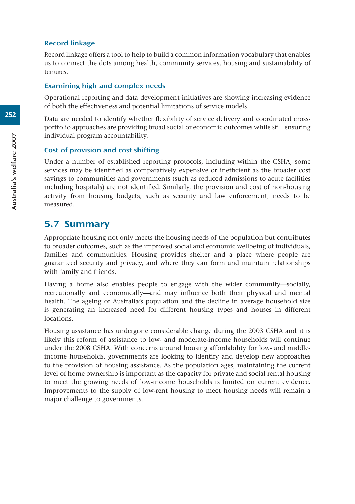#### Record linkage

Record linkage offers a tool to help to build a common information vocabulary that enables us to connect the dots among health, community services, housing and sustainability of tenures.

#### Examining high and complex needs

Operational reporting and data development initiatives are showing increasing evidence of both the effectiveness and potential limitations of service models.

Data are needed to identify whether flexibility of service delivery and coordinated crossportfolio approaches are providing broad social or economic outcomes while still ensuring individual program accountability.

## Cost of provision and cost shifting

Under a number of established reporting protocols, including within the CSHA, some services may be identified as comparatively expensive or inefficient as the broader cost savings to communities and governments (such as reduced admissions to acute facilities including hospitals) are not identified. Similarly, the provision and cost of non-housing activity from housing budgets, such as security and law enforcement, needs to be measured.

## 5.7 Summary

Appropriate housing not only meets the housing needs of the population but contributes to broader outcomes, such as the improved social and economic wellbeing of individuals, families and communities. Housing provides shelter and a place where people are guaranteed security and privacy, and where they can form and maintain relationships with family and friends.

Having a home also enables people to engage with the wider community—socially, recreationally and economically—and may influence both their physical and mental health. The ageing of Australia's population and the decline in average household size is generating an increased need for different housing types and houses in different locations.

Housing assistance has undergone considerable change during the 2003 CSHA and it is likely this reform of assistance to low- and moderate-income households will continue under the 2008 CSHA. With concerns around housing affordability for low- and middleincome households, governments are looking to identify and develop new approaches to the provision of housing assistance. As the population ages, maintaining the current level of home ownership is important as the capacity for private and social rental housing to meet the growing needs of low-income households is limited on current evidence. Improvements to the supply of low-rent housing to meet housing needs will remain a major challenge to governments.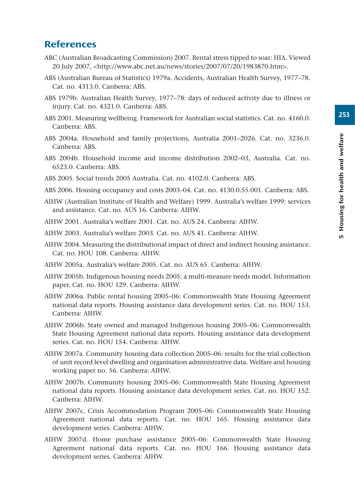# **References**

- ABC (Australian Broadcasting Commission) 2007. Rental stress tipped to soar: HIA. Viewed 20 July 2007, <http://www.abc.net.au/news/stories/2007/07/20/1983870.htm>.
- ABS (Australian Bureau of Statistics) 1979a. Accidents, Australian Health Survey, 1977–78. Cat. no. 4313.0. Canberra: ABS.
- ABS 1979b. Australian Health Survey, 1977–78: days of reduced activity due to illness or injury. Cat. no. 4321.0. Canberra: ABS.
- ABS 2001. Measuring wellbeing. Framework for Australian social statistics. Cat. no. 4160.0. Canberra: ABS.
- ABS 2004a. Household and family projections, Australia 2001–2026. Cat. no. 3236.0. Canberra: ABS.
- ABS 2004b. Household income and income distribution 2002–03, Australia. Cat. no. 6523.0. Canberra: ABS.
- ABS 2005. Social trends 2005 Australia. Cat. no. 4102.0. Canberra: ABS.
- ABS 2006. Housing occupancy and costs 2003–04. Cat. no. 4130.0.55.001. Canberra: ABS.
- AIHW (Australian Institute of Health and Welfare) 1999. Australia's welfare 1999: services and assistance. Cat. no. AUS 16. Canberra: AIHW.
- AIHW 2001. Australia's welfare 2001. Cat. no. AUS 24. Canberra: AIHW.
- AIHW 2003. Australia's welfare 2003. Cat. no. AUS 41. Canberra: AIHW.
- AIHW 2004. Measuring the distributional impact of direct and indirect housing assistance. Cat. no. HOU 108. Canberra: AIHW.
- AIHW 2005a. Australia's welfare 2005. Cat. no. AUS 65. Canberra: AIHW.
- AIHW 2005b. Indigenous housing needs 2005: a multi-measure needs model. Information paper. Cat. no. HOU 129. Canberra: AIHW.
- AIHW 2006a. Public rental housing 2005–06: Commonwealth State Housing Agreement national data reports. Housing assistance data development series. Cat. no. HOU 153. Canberra: AIHW.
- AIHW 2006b. State owned and managed Indigenous housing 2005–06: Commonwealth State Housing Agreement national data reports. Housing assistance data development series. Cat. no. HOU 154. Canberra: AIHW.
- AIHW 2007a. Community housing data collection 2005–06: results for the trial collection of unit record level dwelling and organisation administrative data. Welfare and housing working paper no. 56. Canberra: AIHW.
- AIHW 2007b. Community housing 2005–06: Commonwealth State Housing Agreement national data reports. Housing assistance data development series. Cat. no. HOU 152. Canberra: AIHW.
- AIHW 2007c. Crisis Accommodation Program 2005–06: Commonwealth State Housing Agreement national data reports. Cat. no. HOU 165. Housing assistance data development series. Canberra: AIHW.
- AIHW 2007d. Home purchase assistance 2005–06: Commonwealth State Housing Agreement national data reports. Cat. no. HOU 166. Housing assistance data development series. Canberra: AIHW.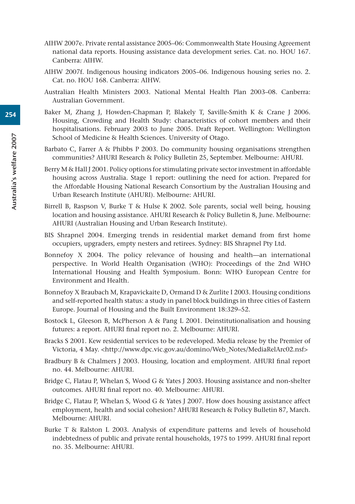- AIHW 2007e. Private rental assistance 2005–06: Commonwealth State Housing Agreement national data reports. Housing assistance data development series. Cat. no. HOU 167. Canberra: AIHW.
- AIHW 2007f. Indigenous housing indicators 2005–06. Indigenous housing series no. 2. Cat. no. HOU 168. Canberra: AIHW.
- Australian Health Ministers 2003. National Mental Health Plan 2003–08. Canberra: Australian Government.
- Baker M, Zhang J, Howden-Chapman P, Blakely T, Saville-Smith K & Crane J 2006. Housing, Crowding and Health Study: characteristics of cohort members and their hospitalisations. February 2003 to June 2005. Draft Report. Wellington: Wellington School of Medicine & Health Sciences. University of Otago.
- Barbato C, Farrer A & Phibbs P 2003. Do community housing organisations strengthen communities? AHURI Research & Policy Bulletin 25, September. Melbourne: AHURI.
- Berry M & Hall J 2001. Policy options for stimulating private sector investment in affordable housing across Australia. Stage 1 report: outlining the need for action. Prepared for the Affordable Housing National Research Consortium by the Australian Housing and Urban Research Institute (AHURI). Melbourne: AHURI.
- Birrell B, Raspson V, Burke T & Hulse K 2002. Sole parents, social well being, housing location and housing assistance. AHURI Research & Policy Bulletin 8, June. Melbourne: AHURI (Australian Housing and Urban Research Institute).
- BIS Shrapnel 2004. Emerging trends in residential market demand from first home occupiers, upgraders, empty nesters and retirees. Sydney: BIS Shrapnel Pty Ltd.
- Bonnefoy X 2004. The policy relevance of housing and health—an international perspective. In World Health Organisation (WHO): Proceedings of the 2nd WHO International Housing and Health Symposium. Bonn: WHO European Centre for Environment and Health.
- Bonnefoy X Braubach M, Krapavickaite D, Ormand D & Zurlite I 2003. Housing conditions and self-reported health status: a study in panel block buildings in three cities of Eastern Europe. Journal of Housing and the Built Environment 18:329–52.
- Bostock L, Gleeson B, McPherson A & Pang L 2001. Deinstitutionalisation and housing futures: a report. AHURI final report no. 2. Melbourne: AHURI.
- Bracks S 2001. Kew residential services to be redeveloped. Media release by the Premier of Victoria, 4 May. <http://www.dpc.vic.gov.au/domino/Web\_Notes/MediaRelArc02.nsf>
- Bradbury B & Chalmers J 2003. Housing, location and employment. AHURI final report no. 44. Melbourne: AHURI.
- Bridge C, Flatau P, Whelan S, Wood G & Yates J 2003. Housing assistance and non-shelter outcomes. AHURI final report no. 40. Melbourne: AHURI.
- Bridge C, Flatau P, Whelan S, Wood G & Yates J 2007. How does housing assistance affect employment, health and social cohesion? AHURI Research & Policy Bulletin 87, March. Melbourne: AHURI.
- Burke T & Ralston L 2003. Analysis of expenditure patterns and levels of household indebtedness of public and private rental households, 1975 to 1999. AHURI final report no. 35. Melbourne: AHURI.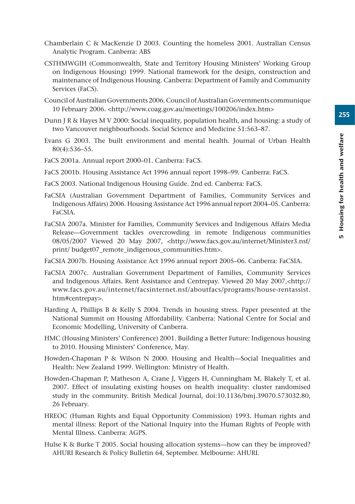255

- Chamberlain C & MacKenzie D 2003. Counting the homeless 2001. Australian Census Analytic Program. Canberra: ABS
- CSTHMWGIH (Commonwealth, State and Territory Housing Ministers' Working Group on Indigenous Housing) 1999. National framework for the design, construction and maintenance of Indigenous Housing. Canberra: Department of Family and Community Services (FaCS).
- Council of Australian Governments 2006. Council of Australian Governments communique 10 February 2006. <http://www.coag.gov.au/meetings/100206/index.htm>
- Dunn J R & Hayes M V 2000: Social inequality, population health, and housing: a study of two Vancouver neighbourhoods. Social Science and Medicine 51:563–87.
- Evans G 2003. The built environment and mental health. Journal of Urban Health 80(4):536–55.
- FaCS 2001a. Annual report 2000–01. Canberra: FaCS.
- FaCS 2001b. Housing Assistance Act 1996 annual report 1998–99. Canberra: FaCS.
- FaCS 2003. National Indigenous Housing Guide. 2nd ed. Canberra: FaCS.
- FaCSIA (Australian Government Department of Families, Community Services and Indigenous Affairs) 2006. Housing Assistance Act 1996 annual report 2004–05. Canberra: FaCSIA.
- FaCSIA 2007a. Minister for Families, Community Services and Indigenous Affairs Media Release—Government tackles overcrowding in remote Indigenous communities 08/05/2007 Viewed 20 May 2007, <http://www.facs.gov.au/internet/Minister3.nsf/ print/ budget07\_remote\_indigenous\_communities.htm>.
- FaCSIA 2007b. Housing Assistance Act 1996 annual report 2005–06. Canberra: FaCSIA.
- FaCSIA 2007c. Australian Government Department of Families, Community Services and Indigenous Affairs. Rent Assistance and Centrepay. Viewed 20 May 2007,<http:// www.facs.gov.au/internet/facsinternet.nsf/aboutfacs/programs/house-rentassist. htm#centrepay>.
- Harding A, Phillips B & Kelly S 2004. Trends in housing stress. Paper presented at the National Summit on Housing Affordability. Canberra: National Centre for Social and Economic Modelling, University of Canberra.
- HMC (Housing Ministers' Conference) 2001. Building a Better Future: Indigenous housing to 2010. Housing Ministers' Conference, May.
- Howden-Chapman P & Wilson N 2000. Housing and Health—Social Inequalities and Health: New Zealand 1999. Wellington: Ministry of Health.
- Howden-Chapman P, Matheson A, Crane J, Viggers H, Cunningham M, Blakely T, et al. 2007. Effect of insulating existing houses on health inequality: cluster randomised study in the community. British Medical Journal, doi:10.1136/bmj.39070.573032.80, 26 February.
- HREOC (Human Rights and Equal Opportunity Commission) 1993. Human rights and mental illness: Report of the National Inquiry into the Human Rights of People with Mental Illness. Canberra: AGPS.
- Hulse K & Burke T 2005. Social housing allocation systems—how can they be improved? AHURI Research & Policy Bulletin 64, September. Melbourne: AHURI.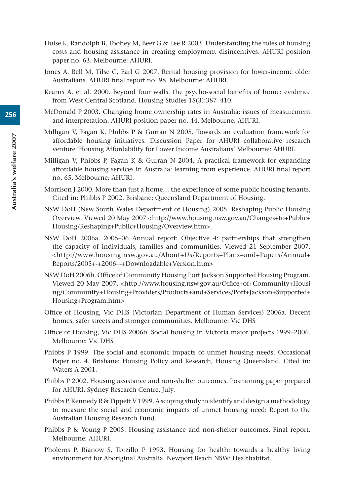- Hulse K, Randolph B, Toohey M, Beer G & Lee R 2003. Understanding the roles of housing costs and housing assistance in creating employment disincentives. AHURI position paper no. 63. Melbourne: AHURI.
- Jones A, Bell M, Tilse C, Earl G 2007. Rental housing provision for lower-income older Australians. AHURI final report no. 98. Melbourne: AHURI.
- Kearns A. et al. 2000. Beyond four walls, the psycho-social benefits of home: evidence from West Central Scotland. Housing Studies 15(3):387–410.
- McDonald P 2003. Changing home ownership rates in Australia: issues of measurement and interpretation. AHURI position paper no. 44. Melbourne: AHURI.
- Milligan V, Fagan K, Phibbs P & Gurran N 2005. Towards an evaluation framework for affordable housing initiatives. Discussion Paper for AHURI collaborative research venture 'Housing Affordability for Lower Income Australians' Melbourne: AHURI.
- Milligan V, Phibbs P, Fagan K & Gurran N 2004. A practical framework for expanding affordable housing services in Australia: learning from experience. AHURI final report no. 65. Melbourne: AHURI.
- Morrison J 2000. More than just a home… the experience of some public housing tenants. Cited in: Phibbs P 2002. Brisbane: Queensland Department of Housing.
- NSW DoH (New South Wales Department of Housing) 2005. Reshaping Public Housing Overview. Viewed 20 May 2007 <http://www.housing.nsw.gov.au/Changes+to+Public+ Housing/Reshaping+Public+Housing/Overview.htm>.
- NSW DoH 2006a. 2005–06 Annual report: Objective 4: partnerships that strengthen the capacity of individuals, families and communities. Viewed 21 September 2007, <http://www.housing.nsw.gov.au/About+Us/Reports+Plans+and+Papers/Annual+ Reports/2005+-+2006+-+Downloadable+Version.htm>
- NSW DoH 2006b. Office of Community Housing Port Jackson Supported Housing Program. Viewed 20 May 2007, <http://www.housing.nsw.gov.au/Office+of+Community+Housi ng/Community+Housing+Providers/Products+and+Services/Port+Jackson+Supported+ Housing+Program.htm>
- Office of Housing, Vic DHS (Victorian Department of Human Services) 2006a. Decent homes, safer streets and stronger communities. Melbourne: Vic DHS
- Office of Housing, Vic DHS 2006b. Social housing in Victoria major projects 1999–2006. Melbourne: Vic DHS
- Phibbs P 1999. The social and economic impacts of unmet housing needs. Occasional Paper no. 4. Brisbane: Housing Policy and Research, Housing Queensland. Cited in: Waters A 2001.
- Phibbs P 2002. Housing assistance and non-shelter outcomes. Positioning paper prepared for AHURI, Sydney Research Centre. July.
- Phibbs P, Kennedy R & Tippett V 1999. A scoping study to identify and design a methodology to measure the social and economic impacts of unmet housing need: Report to the Australian Housing Research Fund.
- Phibbs P & Young P 2005. Housing assistance and non-shelter outcomes. Final report. Melbourne: AHURI.
- Pholeros P, Rianow S, Torzillo P 1993. Housing for health: towards a healthy living environment for Aboriginal Australia. Newport Beach NSW: Healthabitat.